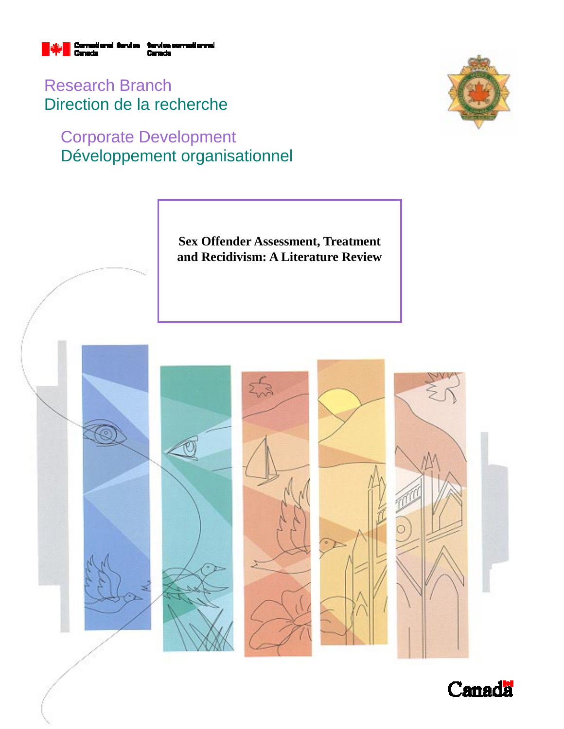

Research Branch Direction de la recherche

## Corporate Development Développement organisationnel



**Sex Offender Assessment, Treatment and Recidivism: A Literature Review** 



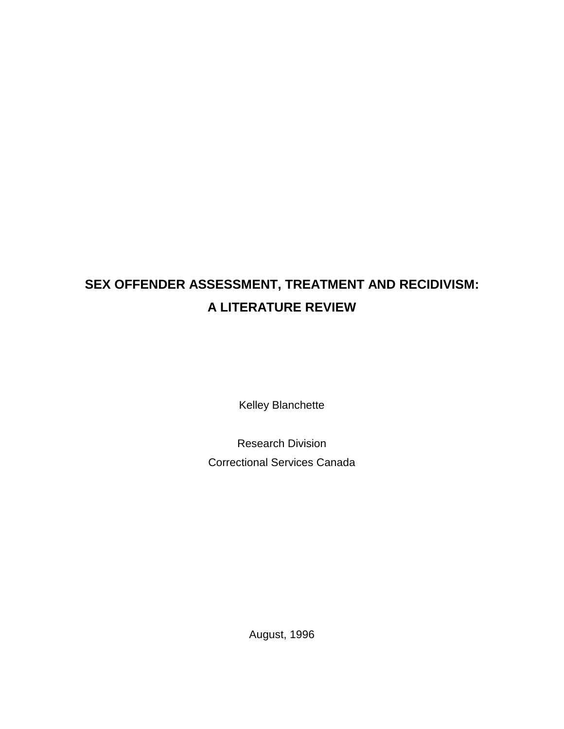# **SEX OFFENDER ASSESSMENT, TREATMENT AND RECIDIVISM: A LITERATURE REVIEW**

Kelley Blanchette

Research Division Correctional Services Canada

August, 1996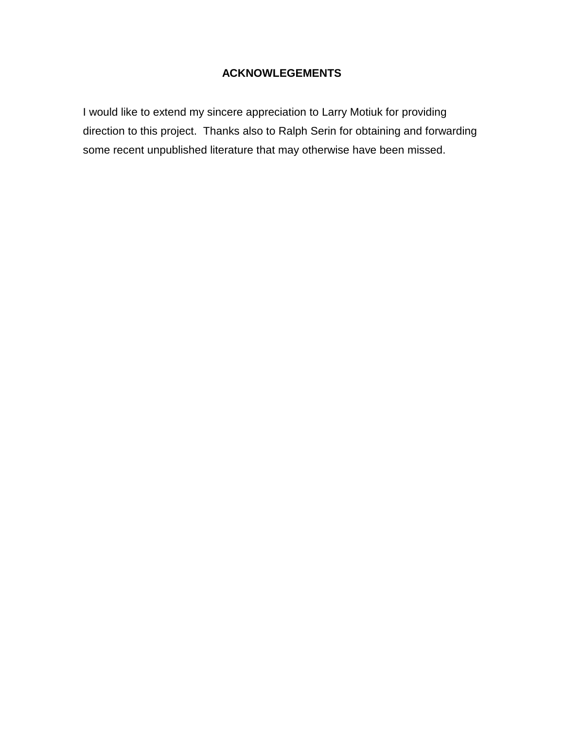### **ACKNOWLEGEMENTS**

I would like to extend my sincere appreciation to Larry Motiuk for providing direction to this project. Thanks also to Ralph Serin for obtaining and forwarding some recent unpublished literature that may otherwise have been missed.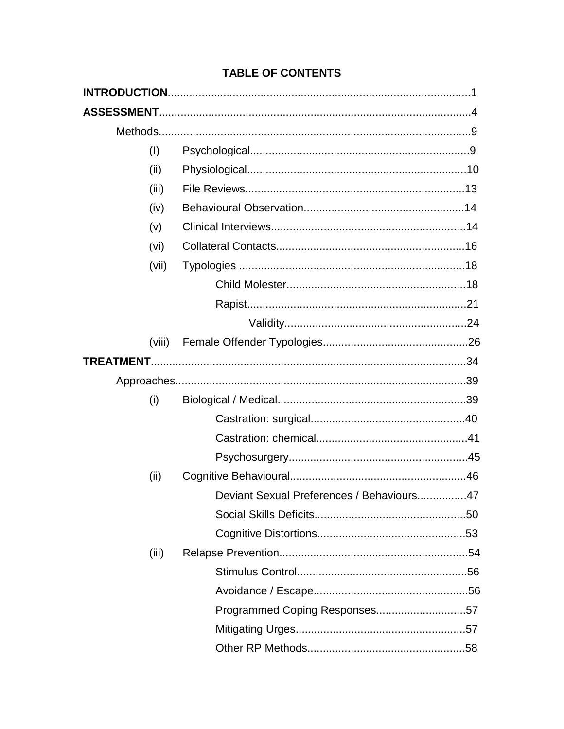| (1)    |                                           |
|--------|-------------------------------------------|
| (ii)   |                                           |
| (iii)  |                                           |
| (iv)   |                                           |
| (v)    |                                           |
| (vi)   |                                           |
| (vii)  |                                           |
|        |                                           |
|        |                                           |
|        |                                           |
| (viii) |                                           |
|        |                                           |
|        |                                           |
| (i)    |                                           |
|        |                                           |
|        |                                           |
|        |                                           |
| (ii)   |                                           |
|        | Deviant Sexual Preferences / Behaviours47 |
|        |                                           |
|        |                                           |
| (iii)  |                                           |
|        |                                           |
|        |                                           |
|        | Programmed Coping Responses57             |
|        |                                           |
|        |                                           |

## **TABLE OF CONTENTS**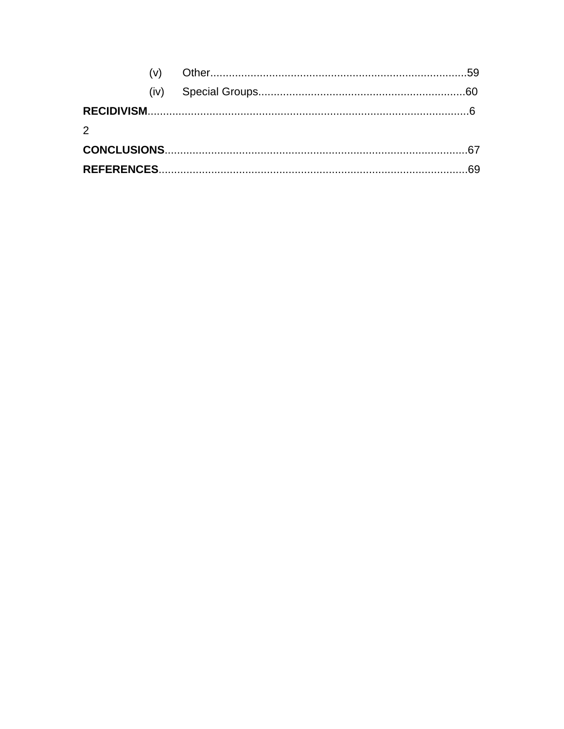| $\mathcal{P}$ |  |  |
|---------------|--|--|
|               |  |  |
|               |  |  |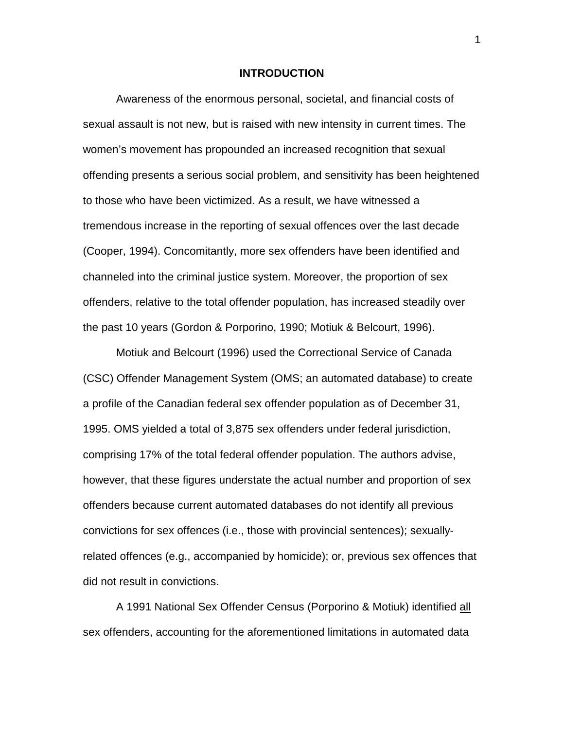#### **INTRODUCTION**

Awareness of the enormous personal, societal, and financial costs of sexual assault is not new, but is raised with new intensity in current times. The women's movement has propounded an increased recognition that sexual offending presents a serious social problem, and sensitivity has been heightened to those who have been victimized. As a result, we have witnessed a tremendous increase in the reporting of sexual offences over the last decade (Cooper, 1994). Concomitantly, more sex offenders have been identified and channeled into the criminal justice system. Moreover, the proportion of sex offenders, relative to the total offender population, has increased steadily over the past 10 years (Gordon & Porporino, 1990; Motiuk & Belcourt, 1996).

Motiuk and Belcourt (1996) used the Correctional Service of Canada (CSC) Offender Management System (OMS; an automated database) to create a profile of the Canadian federal sex offender population as of December 31, 1995. OMS yielded a total of 3,875 sex offenders under federal jurisdiction, comprising 17% of the total federal offender population. The authors advise, however, that these figures understate the actual number and proportion of sex offenders because current automated databases do not identify all previous convictions for sex offences (i.e., those with provincial sentences); sexuallyrelated offences (e.g., accompanied by homicide); or, previous sex offences that did not result in convictions.

A 1991 National Sex Offender Census (Porporino & Motiuk) identified all sex offenders, accounting for the aforementioned limitations in automated data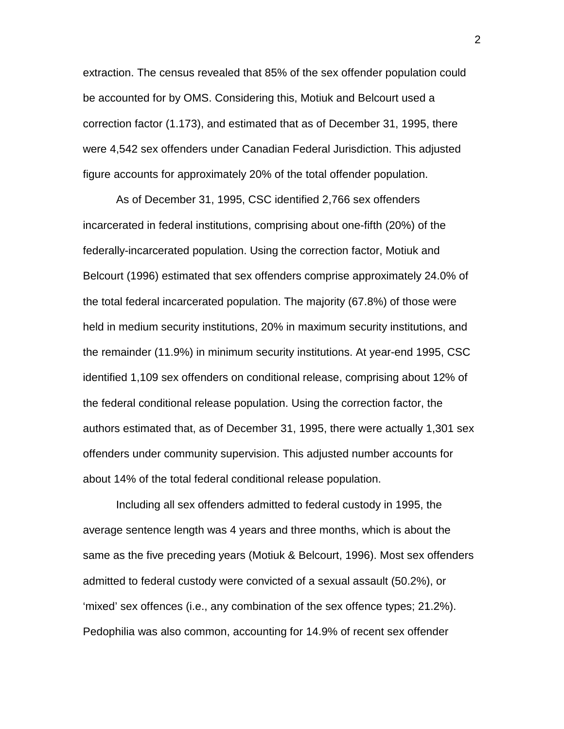extraction. The census revealed that 85% of the sex offender population could be accounted for by OMS. Considering this, Motiuk and Belcourt used a correction factor (1.173), and estimated that as of December 31, 1995, there were 4,542 sex offenders under Canadian Federal Jurisdiction. This adjusted figure accounts for approximately 20% of the total offender population.

As of December 31, 1995, CSC identified 2,766 sex offenders incarcerated in federal institutions, comprising about one-fifth (20%) of the federally-incarcerated population. Using the correction factor, Motiuk and Belcourt (1996) estimated that sex offenders comprise approximately 24.0% of the total federal incarcerated population. The majority (67.8%) of those were held in medium security institutions, 20% in maximum security institutions, and the remainder (11.9%) in minimum security institutions. At year-end 1995, CSC identified 1,109 sex offenders on conditional release, comprising about 12% of the federal conditional release population. Using the correction factor, the authors estimated that, as of December 31, 1995, there were actually 1,301 sex offenders under community supervision. This adjusted number accounts for about 14% of the total federal conditional release population.

Including all sex offenders admitted to federal custody in 1995, the average sentence length was 4 years and three months, which is about the same as the five preceding years (Motiuk & Belcourt, 1996). Most sex offenders admitted to federal custody were convicted of a sexual assault (50.2%), or 'mixed' sex offences (i.e., any combination of the sex offence types; 21.2%). Pedophilia was also common, accounting for 14.9% of recent sex offender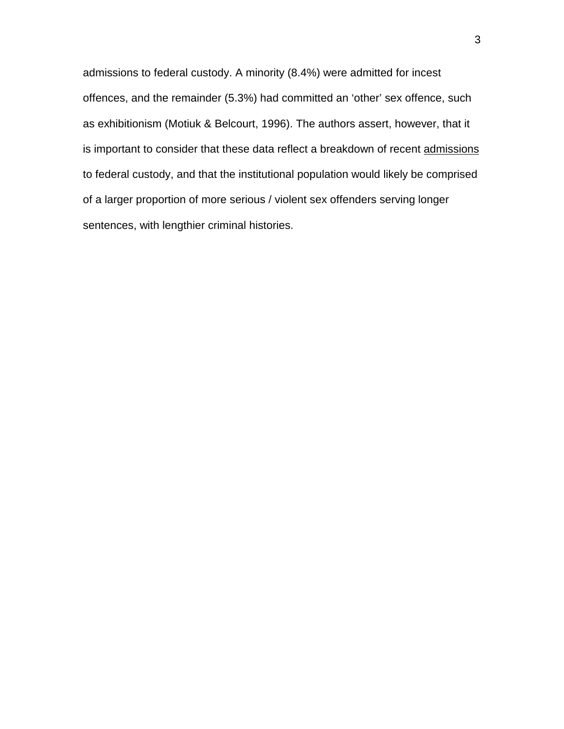admissions to federal custody. A minority (8.4%) were admitted for incest offences, and the remainder (5.3%) had committed an 'other' sex offence, such as exhibitionism (Motiuk & Belcourt, 1996). The authors assert, however, that it is important to consider that these data reflect a breakdown of recent admissions to federal custody, and that the institutional population would likely be comprised of a larger proportion of more serious / violent sex offenders serving longer sentences, with lengthier criminal histories.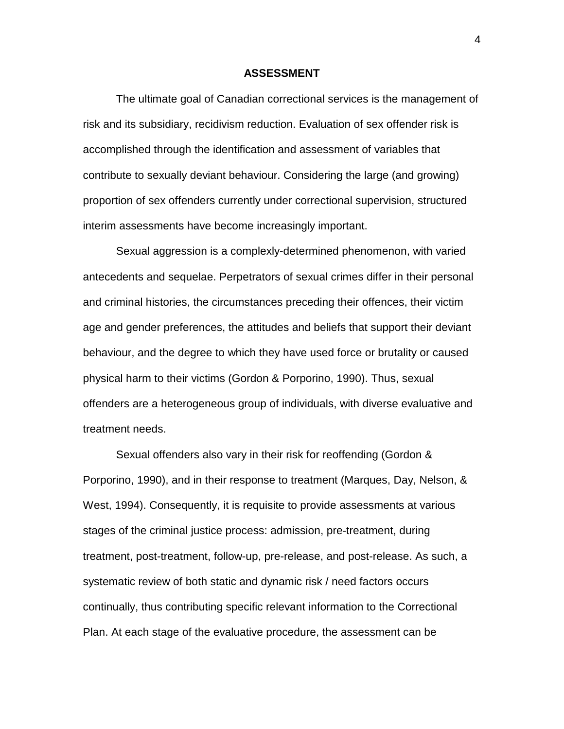#### **ASSESSMENT**

The ultimate goal of Canadian correctional services is the management of risk and its subsidiary, recidivism reduction. Evaluation of sex offender risk is accomplished through the identification and assessment of variables that contribute to sexually deviant behaviour. Considering the large (and growing) proportion of sex offenders currently under correctional supervision, structured interim assessments have become increasingly important.

Sexual aggression is a complexly-determined phenomenon, with varied antecedents and sequelae. Perpetrators of sexual crimes differ in their personal and criminal histories, the circumstances preceding their offences, their victim age and gender preferences, the attitudes and beliefs that support their deviant behaviour, and the degree to which they have used force or brutality or caused physical harm to their victims (Gordon & Porporino, 1990). Thus, sexual offenders are a heterogeneous group of individuals, with diverse evaluative and treatment needs.

Sexual offenders also vary in their risk for reoffending (Gordon & Porporino, 1990), and in their response to treatment (Marques, Day, Nelson, & West, 1994). Consequently, it is requisite to provide assessments at various stages of the criminal justice process: admission, pre-treatment, during treatment, post-treatment, follow-up, pre-release, and post-release. As such, a systematic review of both static and dynamic risk / need factors occurs continually, thus contributing specific relevant information to the Correctional Plan. At each stage of the evaluative procedure, the assessment can be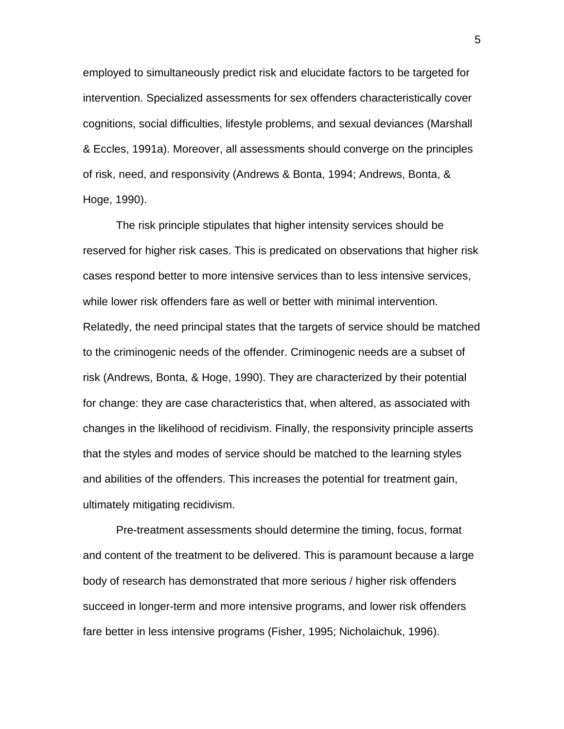employed to simultaneously predict risk and elucidate factors to be targeted for intervention. Specialized assessments for sex offenders characteristically cover cognitions, social difficulties, lifestyle problems, and sexual deviances (Marshall & Eccles, 1991a). Moreover, all assessments should converge on the principles of risk, need, and responsivity (Andrews & Bonta, 1994; Andrews, Bonta, & Hoge, 1990).

The risk principle stipulates that higher intensity services should be reserved for higher risk cases. This is predicated on observations that higher risk cases respond better to more intensive services than to less intensive services, while lower risk offenders fare as well or better with minimal intervention. Relatedly, the need principal states that the targets of service should be matched to the criminogenic needs of the offender. Criminogenic needs are a subset of risk (Andrews, Bonta, & Hoge, 1990). They are characterized by their potential for change: they are case characteristics that, when altered, as associated with changes in the likelihood of recidivism. Finally, the responsivity principle asserts that the styles and modes of service should be matched to the learning styles and abilities of the offenders. This increases the potential for treatment gain, ultimately mitigating recidivism.

Pre-treatment assessments should determine the timing, focus, format and content of the treatment to be delivered. This is paramount because a large body of research has demonstrated that more serious / higher risk offenders succeed in longer-term and more intensive programs, and lower risk offenders fare better in less intensive programs (Fisher, 1995; Nicholaichuk, 1996).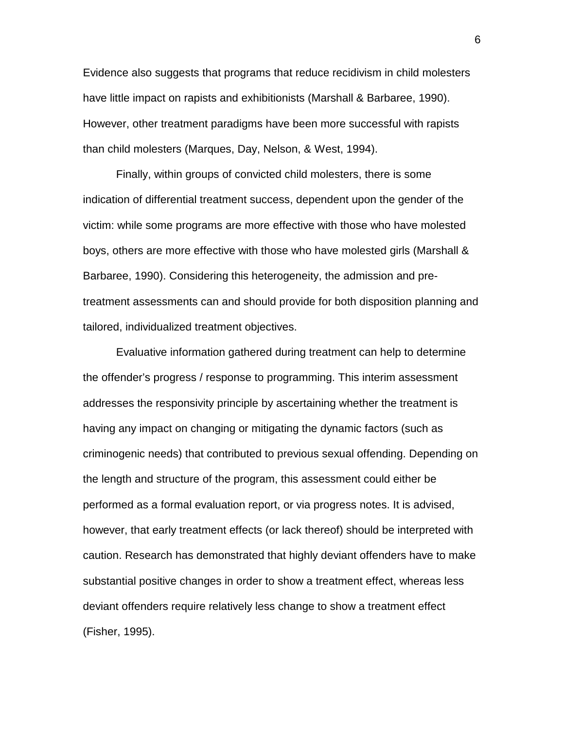Evidence also suggests that programs that reduce recidivism in child molesters have little impact on rapists and exhibitionists (Marshall & Barbaree, 1990). However, other treatment paradigms have been more successful with rapists than child molesters (Marques, Day, Nelson, & West, 1994).

Finally, within groups of convicted child molesters, there is some indication of differential treatment success, dependent upon the gender of the victim: while some programs are more effective with those who have molested boys, others are more effective with those who have molested girls (Marshall & Barbaree, 1990). Considering this heterogeneity, the admission and pretreatment assessments can and should provide for both disposition planning and tailored, individualized treatment objectives.

Evaluative information gathered during treatment can help to determine the offender's progress / response to programming. This interim assessment addresses the responsivity principle by ascertaining whether the treatment is having any impact on changing or mitigating the dynamic factors (such as criminogenic needs) that contributed to previous sexual offending. Depending on the length and structure of the program, this assessment could either be performed as a formal evaluation report, or via progress notes. It is advised, however, that early treatment effects (or lack thereof) should be interpreted with caution. Research has demonstrated that highly deviant offenders have to make substantial positive changes in order to show a treatment effect, whereas less deviant offenders require relatively less change to show a treatment effect (Fisher, 1995).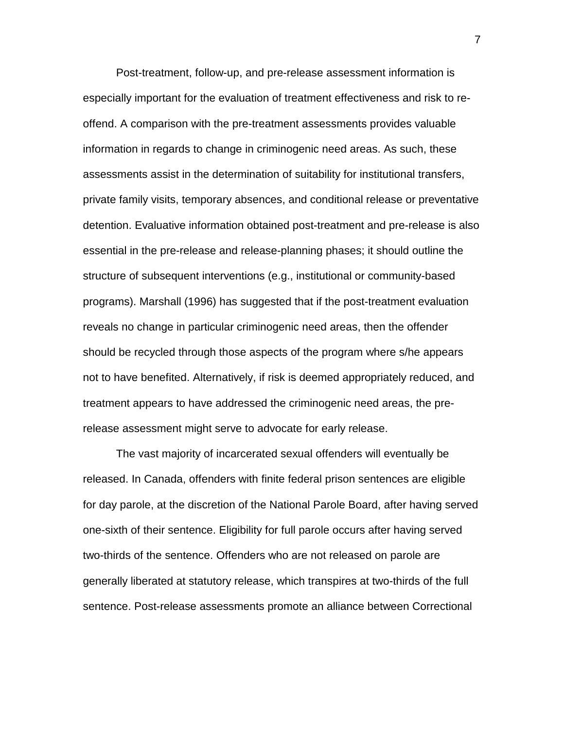Post-treatment, follow-up, and pre-release assessment information is especially important for the evaluation of treatment effectiveness and risk to reoffend. A comparison with the pre-treatment assessments provides valuable information in regards to change in criminogenic need areas. As such, these assessments assist in the determination of suitability for institutional transfers, private family visits, temporary absences, and conditional release or preventative detention. Evaluative information obtained post-treatment and pre-release is also essential in the pre-release and release-planning phases; it should outline the structure of subsequent interventions (e.g., institutional or community-based programs). Marshall (1996) has suggested that if the post-treatment evaluation reveals no change in particular criminogenic need areas, then the offender should be recycled through those aspects of the program where s/he appears not to have benefited. Alternatively, if risk is deemed appropriately reduced, and treatment appears to have addressed the criminogenic need areas, the prerelease assessment might serve to advocate for early release.

The vast majority of incarcerated sexual offenders will eventually be released. In Canada, offenders with finite federal prison sentences are eligible for day parole, at the discretion of the National Parole Board, after having served one-sixth of their sentence. Eligibility for full parole occurs after having served two-thirds of the sentence. Offenders who are not released on parole are generally liberated at statutory release, which transpires at two-thirds of the full sentence. Post-release assessments promote an alliance between Correctional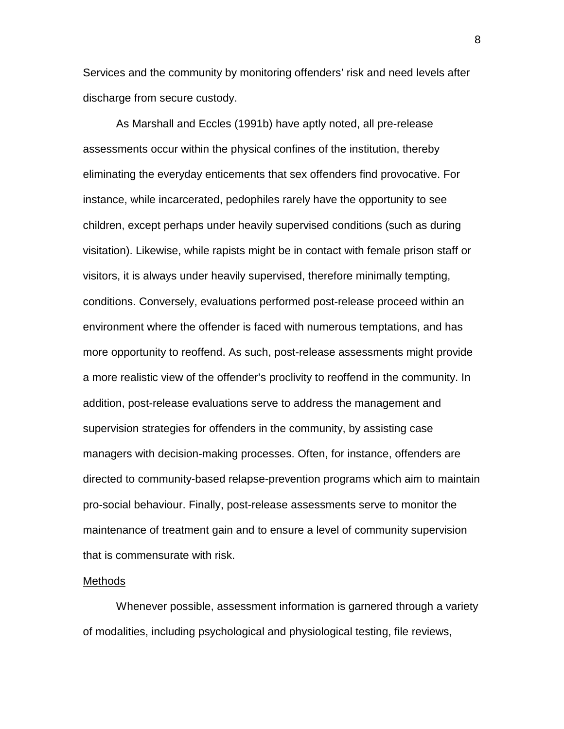Services and the community by monitoring offenders' risk and need levels after discharge from secure custody.

As Marshall and Eccles (1991b) have aptly noted, all pre-release assessments occur within the physical confines of the institution, thereby eliminating the everyday enticements that sex offenders find provocative. For instance, while incarcerated, pedophiles rarely have the opportunity to see children, except perhaps under heavily supervised conditions (such as during visitation). Likewise, while rapists might be in contact with female prison staff or visitors, it is always under heavily supervised, therefore minimally tempting, conditions. Conversely, evaluations performed post-release proceed within an environment where the offender is faced with numerous temptations, and has more opportunity to reoffend. As such, post-release assessments might provide a more realistic view of the offender's proclivity to reoffend in the community. In addition, post-release evaluations serve to address the management and supervision strategies for offenders in the community, by assisting case managers with decision-making processes. Often, for instance, offenders are directed to community-based relapse-prevention programs which aim to maintain pro-social behaviour. Finally, post-release assessments serve to monitor the maintenance of treatment gain and to ensure a level of community supervision that is commensurate with risk.

#### Methods

Whenever possible, assessment information is garnered through a variety of modalities, including psychological and physiological testing, file reviews,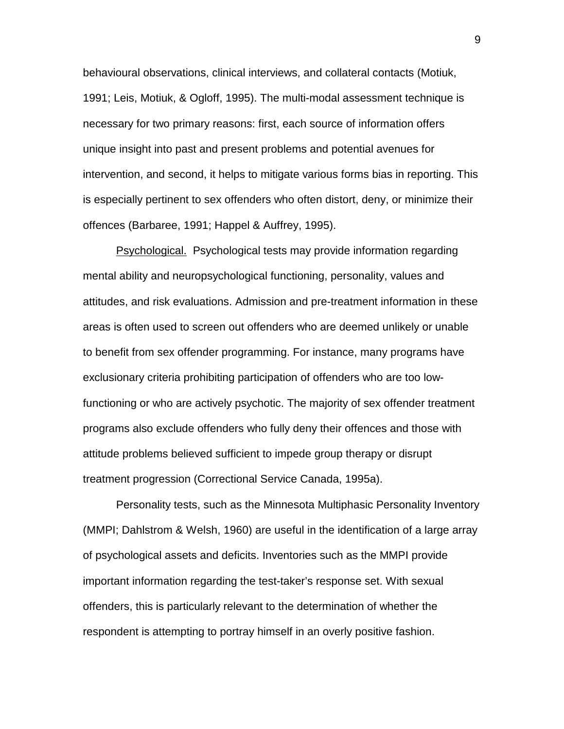behavioural observations, clinical interviews, and collateral contacts (Motiuk, 1991; Leis, Motiuk, & Ogloff, 1995). The multi-modal assessment technique is necessary for two primary reasons: first, each source of information offers unique insight into past and present problems and potential avenues for intervention, and second, it helps to mitigate various forms bias in reporting. This is especially pertinent to sex offenders who often distort, deny, or minimize their offences (Barbaree, 1991; Happel & Auffrey, 1995).

Psychological. Psychological tests may provide information regarding mental ability and neuropsychological functioning, personality, values and attitudes, and risk evaluations. Admission and pre-treatment information in these areas is often used to screen out offenders who are deemed unlikely or unable to benefit from sex offender programming. For instance, many programs have exclusionary criteria prohibiting participation of offenders who are too lowfunctioning or who are actively psychotic. The majority of sex offender treatment programs also exclude offenders who fully deny their offences and those with attitude problems believed sufficient to impede group therapy or disrupt treatment progression (Correctional Service Canada, 1995a).

Personality tests, such as the Minnesota Multiphasic Personality Inventory (MMPI; Dahlstrom & Welsh, 1960) are useful in the identification of a large array of psychological assets and deficits. Inventories such as the MMPI provide important information regarding the test-taker's response set. With sexual offenders, this is particularly relevant to the determination of whether the respondent is attempting to portray himself in an overly positive fashion.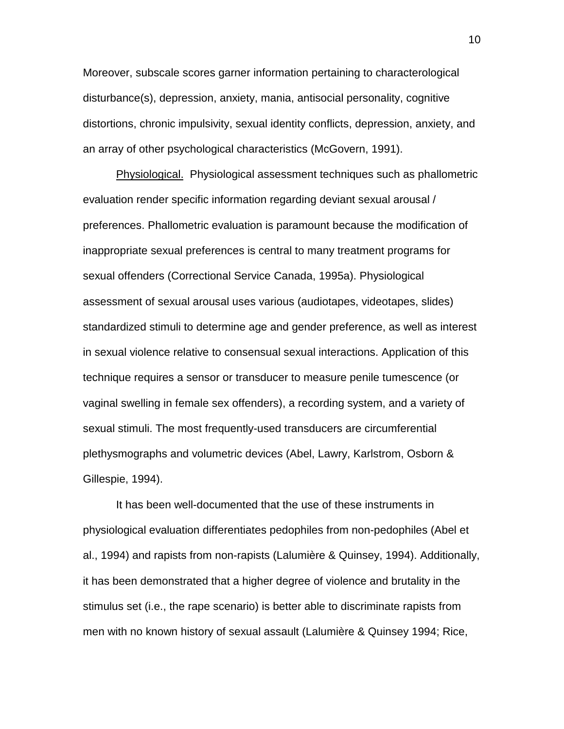Moreover, subscale scores garner information pertaining to characterological disturbance(s), depression, anxiety, mania, antisocial personality, cognitive distortions, chronic impulsivity, sexual identity conflicts, depression, anxiety, and an array of other psychological characteristics (McGovern, 1991).

Physiological. Physiological assessment techniques such as phallometric evaluation render specific information regarding deviant sexual arousal / preferences. Phallometric evaluation is paramount because the modification of inappropriate sexual preferences is central to many treatment programs for sexual offenders (Correctional Service Canada, 1995a). Physiological assessment of sexual arousal uses various (audiotapes, videotapes, slides) standardized stimuli to determine age and gender preference, as well as interest in sexual violence relative to consensual sexual interactions. Application of this technique requires a sensor or transducer to measure penile tumescence (or vaginal swelling in female sex offenders), a recording system, and a variety of sexual stimuli. The most frequently-used transducers are circumferential plethysmographs and volumetric devices (Abel, Lawry, Karlstrom, Osborn & Gillespie, 1994).

It has been well-documented that the use of these instruments in physiological evaluation differentiates pedophiles from non-pedophiles (Abel et al., 1994) and rapists from non-rapists (Lalumière & Quinsey, 1994). Additionally, it has been demonstrated that a higher degree of violence and brutality in the stimulus set (i.e., the rape scenario) is better able to discriminate rapists from men with no known history of sexual assault (Lalumière & Quinsey 1994; Rice,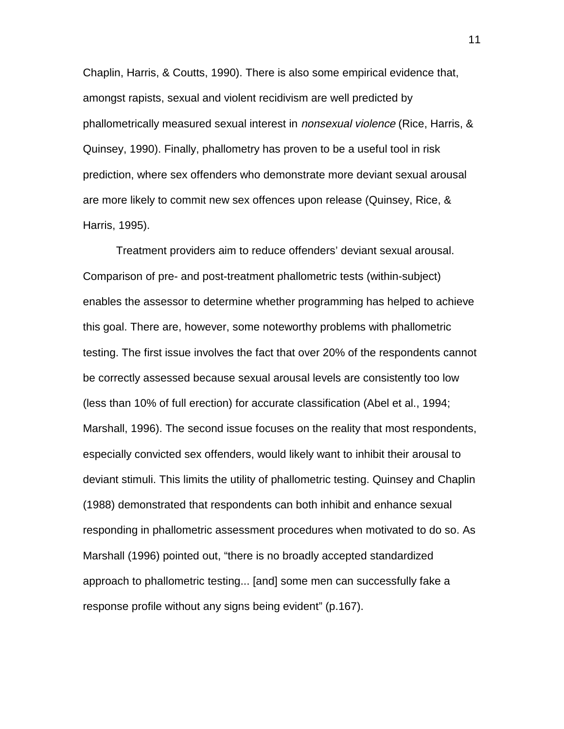Chaplin, Harris, & Coutts, 1990). There is also some empirical evidence that, amongst rapists, sexual and violent recidivism are well predicted by phallometrically measured sexual interest in *nonsexual violence* (Rice, Harris, & Quinsey, 1990). Finally, phallometry has proven to be a useful tool in risk prediction, where sex offenders who demonstrate more deviant sexual arousal are more likely to commit new sex offences upon release (Quinsey, Rice, & Harris, 1995).

Treatment providers aim to reduce offenders' deviant sexual arousal. Comparison of pre- and post-treatment phallometric tests (within-subject) enables the assessor to determine whether programming has helped to achieve this goal. There are, however, some noteworthy problems with phallometric testing. The first issue involves the fact that over 20% of the respondents cannot be correctly assessed because sexual arousal levels are consistently too low (less than 10% of full erection) for accurate classification (Abel et al., 1994; Marshall, 1996). The second issue focuses on the reality that most respondents, especially convicted sex offenders, would likely want to inhibit their arousal to deviant stimuli. This limits the utility of phallometric testing. Quinsey and Chaplin (1988) demonstrated that respondents can both inhibit and enhance sexual responding in phallometric assessment procedures when motivated to do so. As Marshall (1996) pointed out, "there is no broadly accepted standardized approach to phallometric testing... [and] some men can successfully fake a response profile without any signs being evident" (p.167).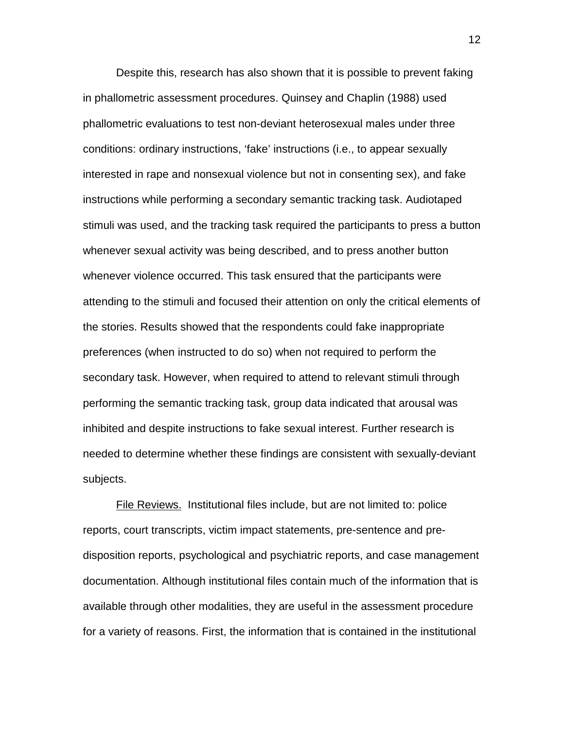Despite this, research has also shown that it is possible to prevent faking in phallometric assessment procedures. Quinsey and Chaplin (1988) used phallometric evaluations to test non-deviant heterosexual males under three conditions: ordinary instructions, 'fake' instructions (i.e., to appear sexually interested in rape and nonsexual violence but not in consenting sex), and fake instructions while performing a secondary semantic tracking task. Audiotaped stimuli was used, and the tracking task required the participants to press a button whenever sexual activity was being described, and to press another button whenever violence occurred. This task ensured that the participants were attending to the stimuli and focused their attention on only the critical elements of the stories. Results showed that the respondents could fake inappropriate preferences (when instructed to do so) when not required to perform the secondary task. However, when required to attend to relevant stimuli through performing the semantic tracking task, group data indicated that arousal was inhibited and despite instructions to fake sexual interest. Further research is needed to determine whether these findings are consistent with sexually-deviant subjects.

File Reviews. Institutional files include, but are not limited to: police reports, court transcripts, victim impact statements, pre-sentence and predisposition reports, psychological and psychiatric reports, and case management documentation. Although institutional files contain much of the information that is available through other modalities, they are useful in the assessment procedure for a variety of reasons. First, the information that is contained in the institutional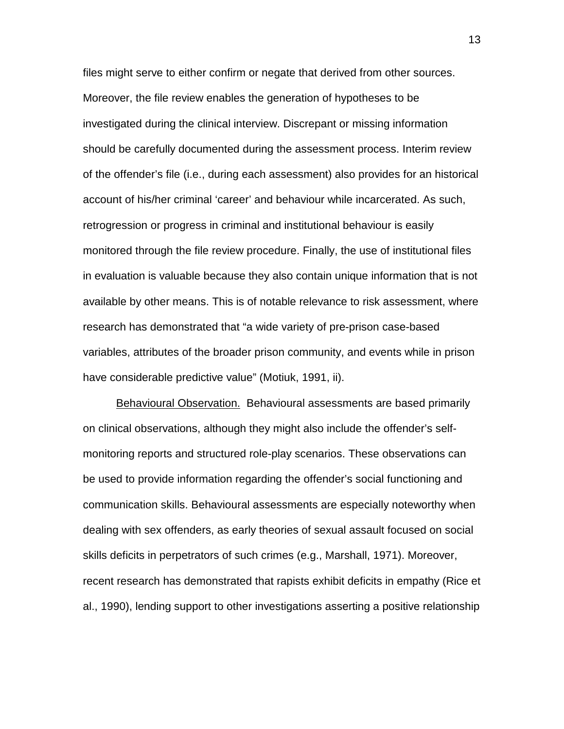files might serve to either confirm or negate that derived from other sources. Moreover, the file review enables the generation of hypotheses to be investigated during the clinical interview. Discrepant or missing information should be carefully documented during the assessment process. Interim review of the offender's file (i.e., during each assessment) also provides for an historical account of his/her criminal 'career' and behaviour while incarcerated. As such, retrogression or progress in criminal and institutional behaviour is easily monitored through the file review procedure. Finally, the use of institutional files in evaluation is valuable because they also contain unique information that is not available by other means. This is of notable relevance to risk assessment, where research has demonstrated that "a wide variety of pre-prison case-based variables, attributes of the broader prison community, and events while in prison have considerable predictive value" (Motiuk, 1991, ii).

Behavioural Observation. Behavioural assessments are based primarily on clinical observations, although they might also include the offender's selfmonitoring reports and structured role-play scenarios. These observations can be used to provide information regarding the offender's social functioning and communication skills. Behavioural assessments are especially noteworthy when dealing with sex offenders, as early theories of sexual assault focused on social skills deficits in perpetrators of such crimes (e.g., Marshall, 1971). Moreover, recent research has demonstrated that rapists exhibit deficits in empathy (Rice et al., 1990), lending support to other investigations asserting a positive relationship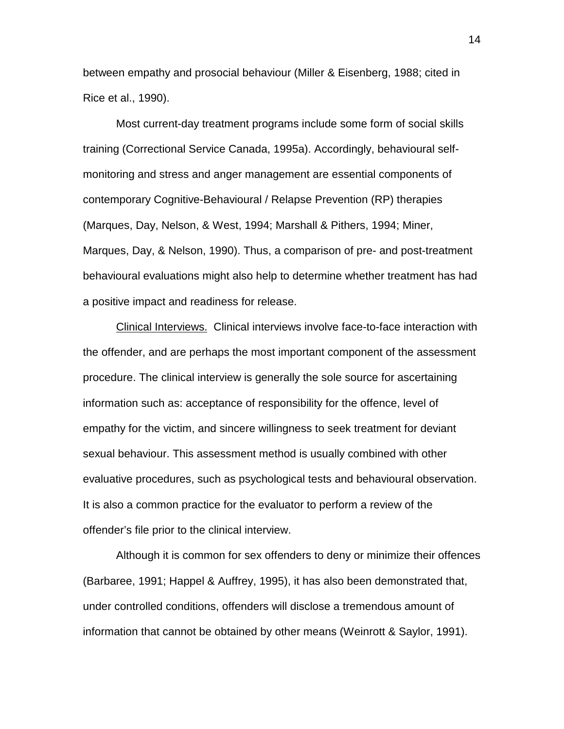between empathy and prosocial behaviour (Miller & Eisenberg, 1988; cited in Rice et al., 1990).

Most current-day treatment programs include some form of social skills training (Correctional Service Canada, 1995a). Accordingly, behavioural selfmonitoring and stress and anger management are essential components of contemporary Cognitive-Behavioural / Relapse Prevention (RP) therapies (Marques, Day, Nelson, & West, 1994; Marshall & Pithers, 1994; Miner, Marques, Day, & Nelson, 1990). Thus, a comparison of pre- and post-treatment behavioural evaluations might also help to determine whether treatment has had a positive impact and readiness for release.

Clinical Interviews. Clinical interviews involve face-to-face interaction with the offender, and are perhaps the most important component of the assessment procedure. The clinical interview is generally the sole source for ascertaining information such as: acceptance of responsibility for the offence, level of empathy for the victim, and sincere willingness to seek treatment for deviant sexual behaviour. This assessment method is usually combined with other evaluative procedures, such as psychological tests and behavioural observation. It is also a common practice for the evaluator to perform a review of the offender's file prior to the clinical interview.

Although it is common for sex offenders to deny or minimize their offences (Barbaree, 1991; Happel & Auffrey, 1995), it has also been demonstrated that, under controlled conditions, offenders will disclose a tremendous amount of information that cannot be obtained by other means (Weinrott & Saylor, 1991).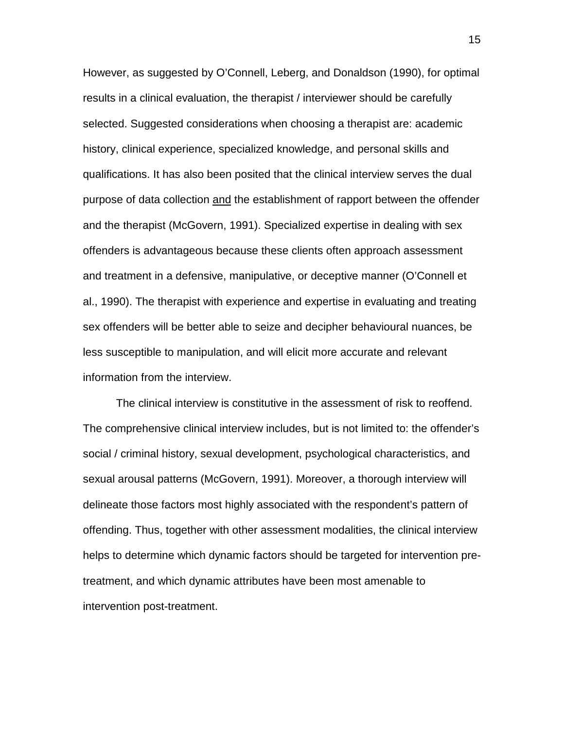However, as suggested by O'Connell, Leberg, and Donaldson (1990), for optimal results in a clinical evaluation, the therapist / interviewer should be carefully selected. Suggested considerations when choosing a therapist are: academic history, clinical experience, specialized knowledge, and personal skills and qualifications. It has also been posited that the clinical interview serves the dual purpose of data collection and the establishment of rapport between the offender and the therapist (McGovern, 1991). Specialized expertise in dealing with sex offenders is advantageous because these clients often approach assessment and treatment in a defensive, manipulative, or deceptive manner (O'Connell et al., 1990). The therapist with experience and expertise in evaluating and treating sex offenders will be better able to seize and decipher behavioural nuances, be less susceptible to manipulation, and will elicit more accurate and relevant information from the interview.

The clinical interview is constitutive in the assessment of risk to reoffend. The comprehensive clinical interview includes, but is not limited to: the offender's social / criminal history, sexual development, psychological characteristics, and sexual arousal patterns (McGovern, 1991). Moreover, a thorough interview will delineate those factors most highly associated with the respondent's pattern of offending. Thus, together with other assessment modalities, the clinical interview helps to determine which dynamic factors should be targeted for intervention pretreatment, and which dynamic attributes have been most amenable to intervention post-treatment.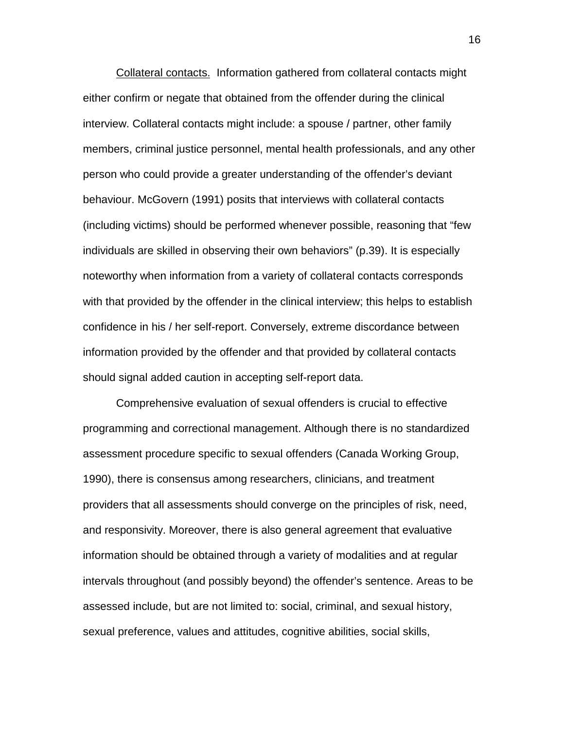Collateral contacts. Information gathered from collateral contacts might either confirm or negate that obtained from the offender during the clinical interview. Collateral contacts might include: a spouse / partner, other family members, criminal justice personnel, mental health professionals, and any other person who could provide a greater understanding of the offender's deviant behaviour. McGovern (1991) posits that interviews with collateral contacts (including victims) should be performed whenever possible, reasoning that "few individuals are skilled in observing their own behaviors" (p.39). It is especially noteworthy when information from a variety of collateral contacts corresponds with that provided by the offender in the clinical interview; this helps to establish confidence in his / her self-report. Conversely, extreme discordance between information provided by the offender and that provided by collateral contacts should signal added caution in accepting self-report data.

Comprehensive evaluation of sexual offenders is crucial to effective programming and correctional management. Although there is no standardized assessment procedure specific to sexual offenders (Canada Working Group, 1990), there is consensus among researchers, clinicians, and treatment providers that all assessments should converge on the principles of risk, need, and responsivity. Moreover, there is also general agreement that evaluative information should be obtained through a variety of modalities and at regular intervals throughout (and possibly beyond) the offender's sentence. Areas to be assessed include, but are not limited to: social, criminal, and sexual history, sexual preference, values and attitudes, cognitive abilities, social skills,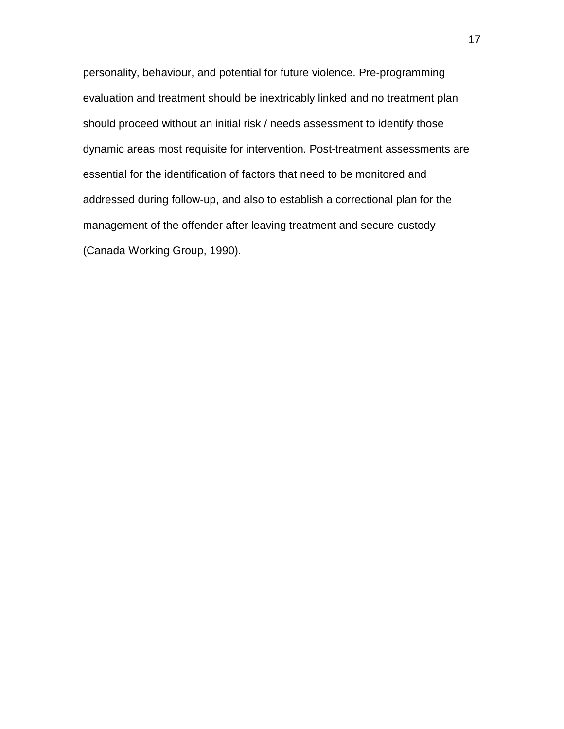personality, behaviour, and potential for future violence. Pre-programming evaluation and treatment should be inextricably linked and no treatment plan should proceed without an initial risk / needs assessment to identify those dynamic areas most requisite for intervention. Post-treatment assessments are essential for the identification of factors that need to be monitored and addressed during follow-up, and also to establish a correctional plan for the management of the offender after leaving treatment and secure custody (Canada Working Group, 1990).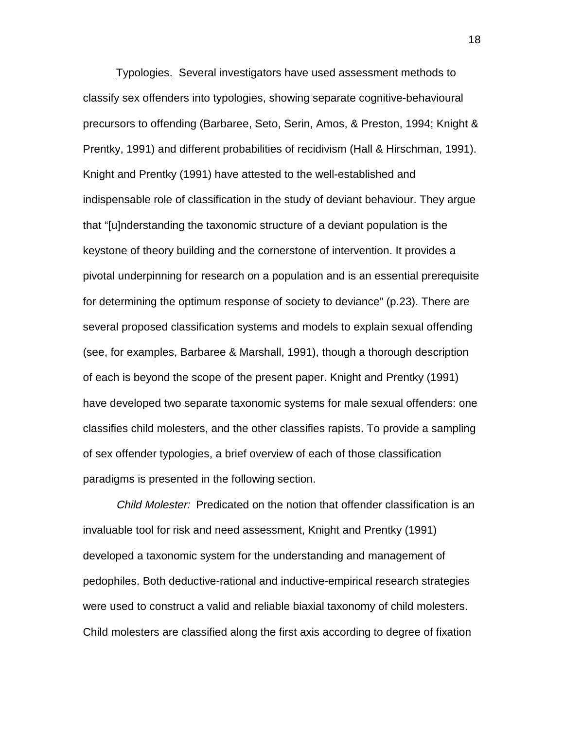Typologies. Several investigators have used assessment methods to classify sex offenders into typologies, showing separate cognitive-behavioural precursors to offending (Barbaree, Seto, Serin, Amos, & Preston, 1994; Knight & Prentky, 1991) and different probabilities of recidivism (Hall & Hirschman, 1991). Knight and Prentky (1991) have attested to the well-established and indispensable role of classification in the study of deviant behaviour. They argue that "[u]nderstanding the taxonomic structure of a deviant population is the keystone of theory building and the cornerstone of intervention. It provides a pivotal underpinning for research on a population and is an essential prerequisite for determining the optimum response of society to deviance" (p.23). There are several proposed classification systems and models to explain sexual offending (see, for examples, Barbaree & Marshall, 1991), though a thorough description of each is beyond the scope of the present paper. Knight and Prentky (1991) have developed two separate taxonomic systems for male sexual offenders: one classifies child molesters, and the other classifies rapists. To provide a sampling of sex offender typologies, a brief overview of each of those classification paradigms is presented in the following section.

Child Molester: Predicated on the notion that offender classification is an invaluable tool for risk and need assessment, Knight and Prentky (1991) developed a taxonomic system for the understanding and management of pedophiles. Both deductive-rational and inductive-empirical research strategies were used to construct a valid and reliable biaxial taxonomy of child molesters. Child molesters are classified along the first axis according to degree of fixation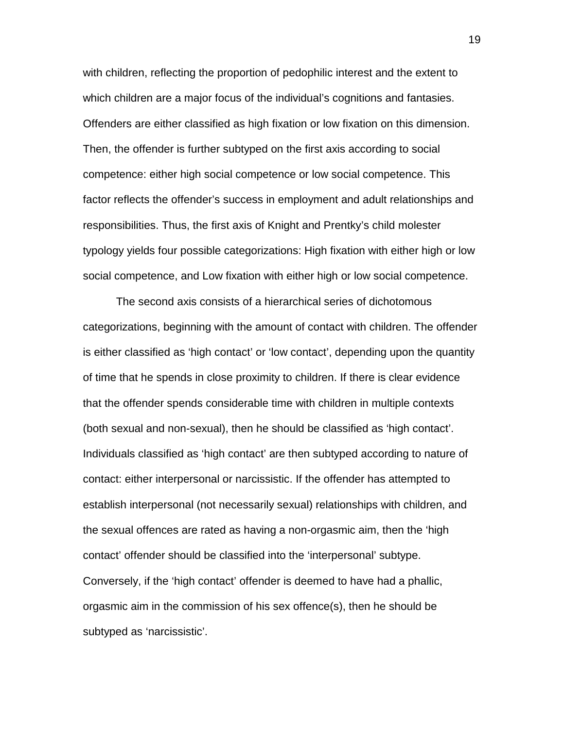with children, reflecting the proportion of pedophilic interest and the extent to which children are a major focus of the individual's cognitions and fantasies. Offenders are either classified as high fixation or low fixation on this dimension. Then, the offender is further subtyped on the first axis according to social competence: either high social competence or low social competence. This factor reflects the offender's success in employment and adult relationships and responsibilities. Thus, the first axis of Knight and Prentky's child molester typology yields four possible categorizations: High fixation with either high or low social competence, and Low fixation with either high or low social competence.

The second axis consists of a hierarchical series of dichotomous categorizations, beginning with the amount of contact with children. The offender is either classified as 'high contact' or 'low contact', depending upon the quantity of time that he spends in close proximity to children. If there is clear evidence that the offender spends considerable time with children in multiple contexts (both sexual and non-sexual), then he should be classified as 'high contact'. Individuals classified as 'high contact' are then subtyped according to nature of contact: either interpersonal or narcissistic. If the offender has attempted to establish interpersonal (not necessarily sexual) relationships with children, and the sexual offences are rated as having a non-orgasmic aim, then the 'high contact' offender should be classified into the 'interpersonal' subtype. Conversely, if the 'high contact' offender is deemed to have had a phallic, orgasmic aim in the commission of his sex offence(s), then he should be subtyped as 'narcissistic'.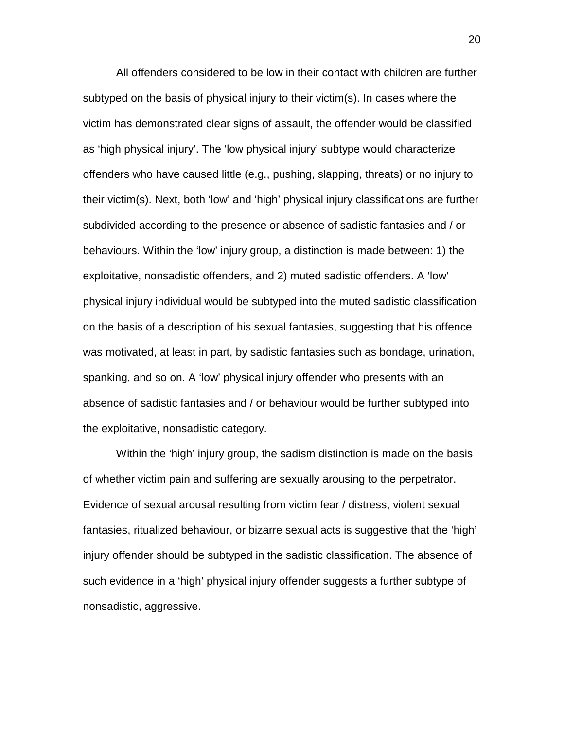All offenders considered to be low in their contact with children are further subtyped on the basis of physical injury to their victim(s). In cases where the victim has demonstrated clear signs of assault, the offender would be classified as 'high physical injury'. The 'low physical injury' subtype would characterize offenders who have caused little (e.g., pushing, slapping, threats) or no injury to their victim(s). Next, both 'low' and 'high' physical injury classifications are further subdivided according to the presence or absence of sadistic fantasies and / or behaviours. Within the 'low' injury group, a distinction is made between: 1) the exploitative, nonsadistic offenders, and 2) muted sadistic offenders. A 'low' physical injury individual would be subtyped into the muted sadistic classification on the basis of a description of his sexual fantasies, suggesting that his offence was motivated, at least in part, by sadistic fantasies such as bondage, urination, spanking, and so on. A 'low' physical injury offender who presents with an absence of sadistic fantasies and / or behaviour would be further subtyped into the exploitative, nonsadistic category.

Within the 'high' injury group, the sadism distinction is made on the basis of whether victim pain and suffering are sexually arousing to the perpetrator. Evidence of sexual arousal resulting from victim fear / distress, violent sexual fantasies, ritualized behaviour, or bizarre sexual acts is suggestive that the 'high' injury offender should be subtyped in the sadistic classification. The absence of such evidence in a 'high' physical injury offender suggests a further subtype of nonsadistic, aggressive.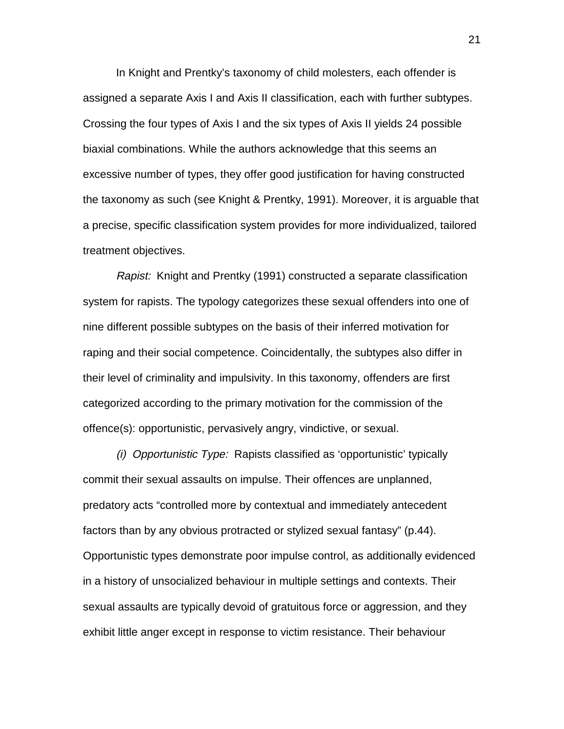In Knight and Prentky's taxonomy of child molesters, each offender is assigned a separate Axis I and Axis II classification, each with further subtypes. Crossing the four types of Axis I and the six types of Axis II yields 24 possible biaxial combinations. While the authors acknowledge that this seems an excessive number of types, they offer good justification for having constructed the taxonomy as such (see Knight & Prentky, 1991). Moreover, it is arguable that a precise, specific classification system provides for more individualized, tailored treatment objectives.

Rapist: Knight and Prentky (1991) constructed a separate classification system for rapists. The typology categorizes these sexual offenders into one of nine different possible subtypes on the basis of their inferred motivation for raping and their social competence. Coincidentally, the subtypes also differ in their level of criminality and impulsivity. In this taxonomy, offenders are first categorized according to the primary motivation for the commission of the offence(s): opportunistic, pervasively angry, vindictive, or sexual.

(i) Opportunistic Type: Rapists classified as 'opportunistic' typically commit their sexual assaults on impulse. Their offences are unplanned, predatory acts "controlled more by contextual and immediately antecedent factors than by any obvious protracted or stylized sexual fantasy" (p.44). Opportunistic types demonstrate poor impulse control, as additionally evidenced in a history of unsocialized behaviour in multiple settings and contexts. Their sexual assaults are typically devoid of gratuitous force or aggression, and they exhibit little anger except in response to victim resistance. Their behaviour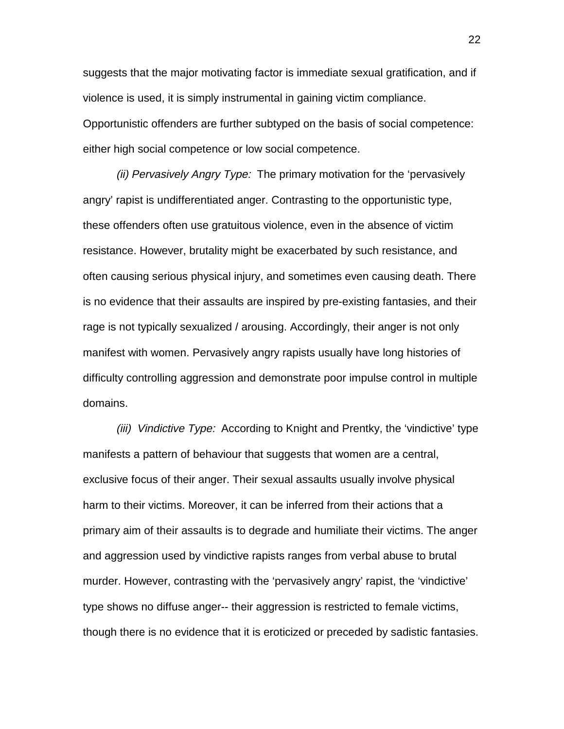suggests that the major motivating factor is immediate sexual gratification, and if violence is used, it is simply instrumental in gaining victim compliance. Opportunistic offenders are further subtyped on the basis of social competence: either high social competence or low social competence.

(ii) Pervasively Angry Type: The primary motivation for the 'pervasively angry' rapist is undifferentiated anger. Contrasting to the opportunistic type, these offenders often use gratuitous violence, even in the absence of victim resistance. However, brutality might be exacerbated by such resistance, and often causing serious physical injury, and sometimes even causing death. There is no evidence that their assaults are inspired by pre-existing fantasies, and their rage is not typically sexualized / arousing. Accordingly, their anger is not only manifest with women. Pervasively angry rapists usually have long histories of difficulty controlling aggression and demonstrate poor impulse control in multiple domains.

(iii) Vindictive Type: According to Knight and Prentky, the 'vindictive' type manifests a pattern of behaviour that suggests that women are a central, exclusive focus of their anger. Their sexual assaults usually involve physical harm to their victims. Moreover, it can be inferred from their actions that a primary aim of their assaults is to degrade and humiliate their victims. The anger and aggression used by vindictive rapists ranges from verbal abuse to brutal murder. However, contrasting with the 'pervasively angry' rapist, the 'vindictive' type shows no diffuse anger-- their aggression is restricted to female victims, though there is no evidence that it is eroticized or preceded by sadistic fantasies.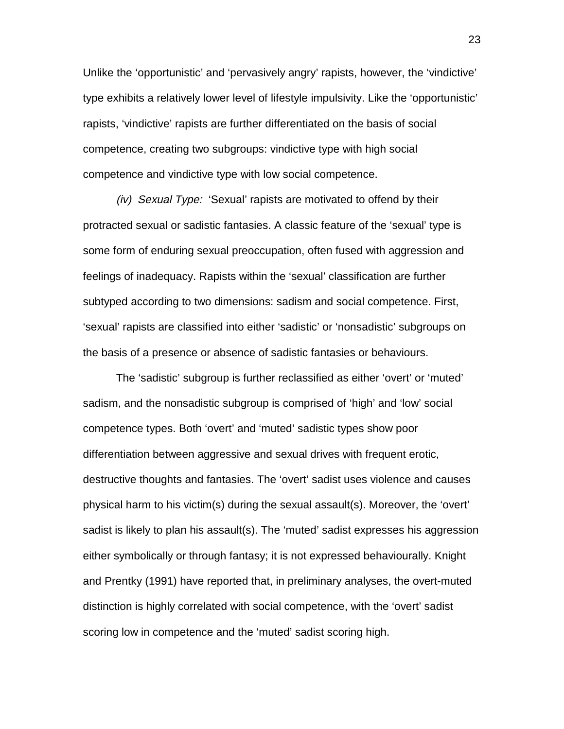Unlike the 'opportunistic' and 'pervasively angry' rapists, however, the 'vindictive' type exhibits a relatively lower level of lifestyle impulsivity. Like the 'opportunistic' rapists, 'vindictive' rapists are further differentiated on the basis of social competence, creating two subgroups: vindictive type with high social competence and vindictive type with low social competence.

(iv) Sexual Type: 'Sexual' rapists are motivated to offend by their protracted sexual or sadistic fantasies. A classic feature of the 'sexual' type is some form of enduring sexual preoccupation, often fused with aggression and feelings of inadequacy. Rapists within the 'sexual' classification are further subtyped according to two dimensions: sadism and social competence. First, 'sexual' rapists are classified into either 'sadistic' or 'nonsadistic' subgroups on the basis of a presence or absence of sadistic fantasies or behaviours.

The 'sadistic' subgroup is further reclassified as either 'overt' or 'muted' sadism, and the nonsadistic subgroup is comprised of 'high' and 'low' social competence types. Both 'overt' and 'muted' sadistic types show poor differentiation between aggressive and sexual drives with frequent erotic, destructive thoughts and fantasies. The 'overt' sadist uses violence and causes physical harm to his victim(s) during the sexual assault(s). Moreover, the 'overt' sadist is likely to plan his assault(s). The 'muted' sadist expresses his aggression either symbolically or through fantasy; it is not expressed behaviourally. Knight and Prentky (1991) have reported that, in preliminary analyses, the overt-muted distinction is highly correlated with social competence, with the 'overt' sadist scoring low in competence and the 'muted' sadist scoring high.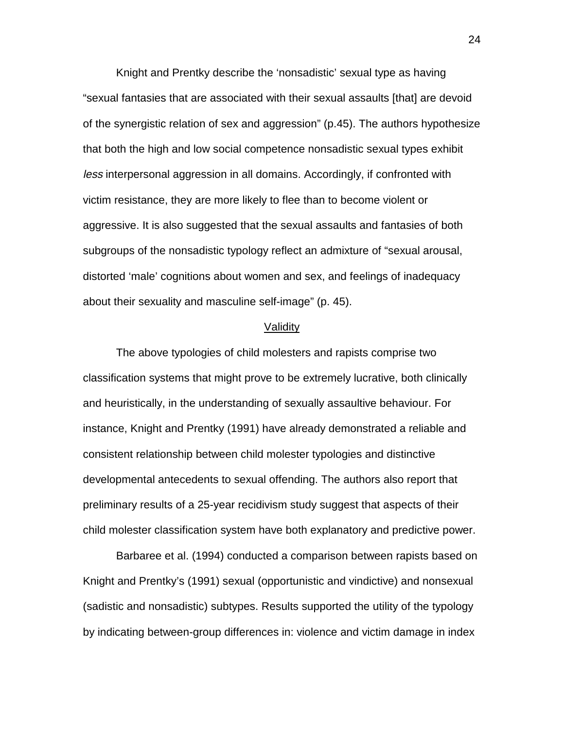Knight and Prentky describe the 'nonsadistic' sexual type as having "sexual fantasies that are associated with their sexual assaults [that] are devoid of the synergistic relation of sex and aggression" (p.45). The authors hypothesize that both the high and low social competence nonsadistic sexual types exhibit less interpersonal aggression in all domains. Accordingly, if confronted with victim resistance, they are more likely to flee than to become violent or aggressive. It is also suggested that the sexual assaults and fantasies of both subgroups of the nonsadistic typology reflect an admixture of "sexual arousal, distorted 'male' cognitions about women and sex, and feelings of inadequacy about their sexuality and masculine self-image" (p. 45).

#### Validity

The above typologies of child molesters and rapists comprise two classification systems that might prove to be extremely lucrative, both clinically and heuristically, in the understanding of sexually assaultive behaviour. For instance, Knight and Prentky (1991) have already demonstrated a reliable and consistent relationship between child molester typologies and distinctive developmental antecedents to sexual offending. The authors also report that preliminary results of a 25-year recidivism study suggest that aspects of their child molester classification system have both explanatory and predictive power.

Barbaree et al. (1994) conducted a comparison between rapists based on Knight and Prentky's (1991) sexual (opportunistic and vindictive) and nonsexual (sadistic and nonsadistic) subtypes. Results supported the utility of the typology by indicating between-group differences in: violence and victim damage in index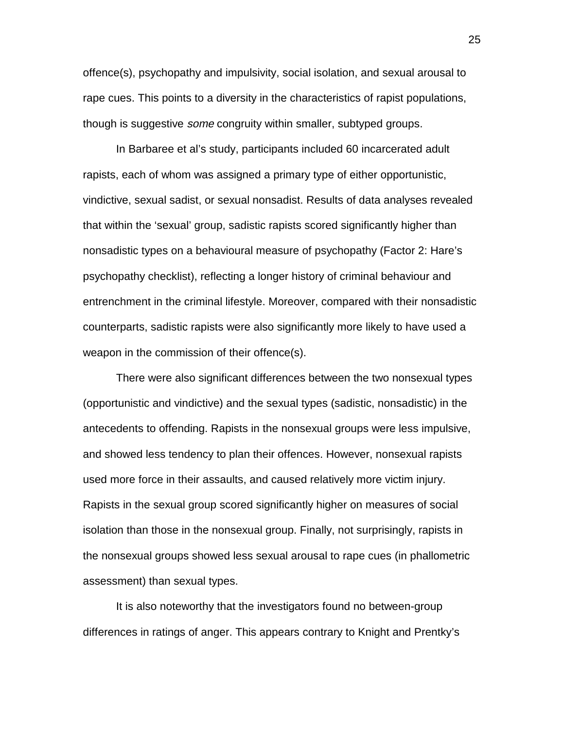offence(s), psychopathy and impulsivity, social isolation, and sexual arousal to rape cues. This points to a diversity in the characteristics of rapist populations, though is suggestive *some* congruity within smaller, subtyped groups.

In Barbaree et al's study, participants included 60 incarcerated adult rapists, each of whom was assigned a primary type of either opportunistic, vindictive, sexual sadist, or sexual nonsadist. Results of data analyses revealed that within the 'sexual' group, sadistic rapists scored significantly higher than nonsadistic types on a behavioural measure of psychopathy (Factor 2: Hare's psychopathy checklist), reflecting a longer history of criminal behaviour and entrenchment in the criminal lifestyle. Moreover, compared with their nonsadistic counterparts, sadistic rapists were also significantly more likely to have used a weapon in the commission of their offence(s).

There were also significant differences between the two nonsexual types (opportunistic and vindictive) and the sexual types (sadistic, nonsadistic) in the antecedents to offending. Rapists in the nonsexual groups were less impulsive, and showed less tendency to plan their offences. However, nonsexual rapists used more force in their assaults, and caused relatively more victim injury. Rapists in the sexual group scored significantly higher on measures of social isolation than those in the nonsexual group. Finally, not surprisingly, rapists in the nonsexual groups showed less sexual arousal to rape cues (in phallometric assessment) than sexual types.

It is also noteworthy that the investigators found no between-group differences in ratings of anger. This appears contrary to Knight and Prentky's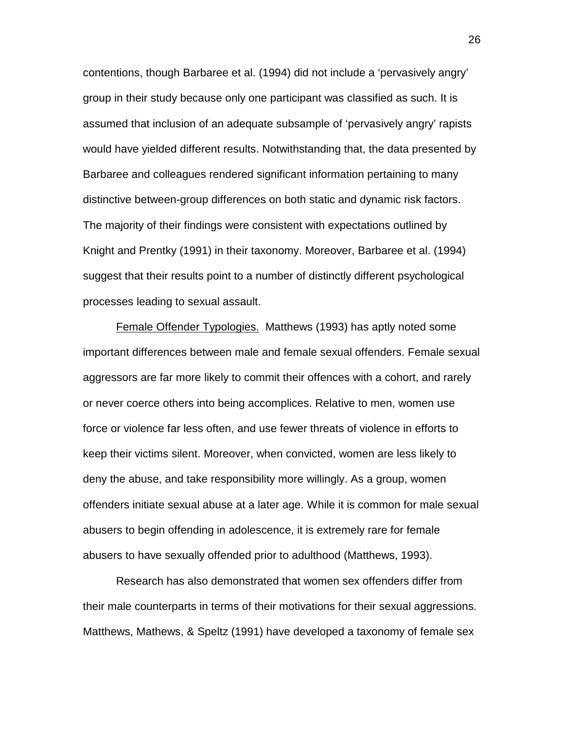contentions, though Barbaree et al. (1994) did not include a 'pervasively angry' group in their study because only one participant was classified as such. It is assumed that inclusion of an adequate subsample of 'pervasively angry' rapists would have yielded different results. Notwithstanding that, the data presented by Barbaree and colleagues rendered significant information pertaining to many distinctive between-group differences on both static and dynamic risk factors. The majority of their findings were consistent with expectations outlined by Knight and Prentky (1991) in their taxonomy. Moreover, Barbaree et al. (1994) suggest that their results point to a number of distinctly different psychological processes leading to sexual assault.

Female Offender Typologies. Matthews (1993) has aptly noted some important differences between male and female sexual offenders. Female sexual aggressors are far more likely to commit their offences with a cohort, and rarely or never coerce others into being accomplices. Relative to men, women use force or violence far less often, and use fewer threats of violence in efforts to keep their victims silent. Moreover, when convicted, women are less likely to deny the abuse, and take responsibility more willingly. As a group, women offenders initiate sexual abuse at a later age. While it is common for male sexual abusers to begin offending in adolescence, it is extremely rare for female abusers to have sexually offended prior to adulthood (Matthews, 1993).

Research has also demonstrated that women sex offenders differ from their male counterparts in terms of their motivations for their sexual aggressions. Matthews, Mathews, & Speltz (1991) have developed a taxonomy of female sex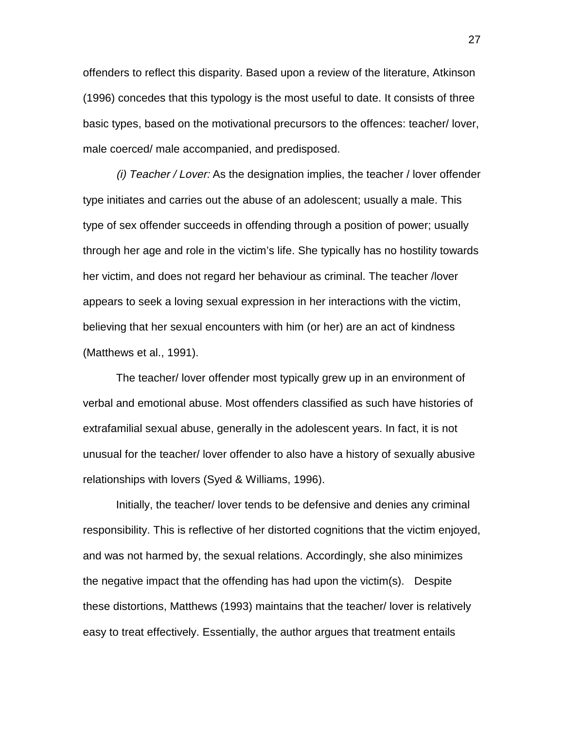offenders to reflect this disparity. Based upon a review of the literature, Atkinson (1996) concedes that this typology is the most useful to date. It consists of three basic types, based on the motivational precursors to the offences: teacher/ lover, male coerced/ male accompanied, and predisposed.

(i) Teacher / Lover: As the designation implies, the teacher / lover offender type initiates and carries out the abuse of an adolescent; usually a male. This type of sex offender succeeds in offending through a position of power; usually through her age and role in the victim's life. She typically has no hostility towards her victim, and does not regard her behaviour as criminal. The teacher /lover appears to seek a loving sexual expression in her interactions with the victim, believing that her sexual encounters with him (or her) are an act of kindness (Matthews et al., 1991).

The teacher/ lover offender most typically grew up in an environment of verbal and emotional abuse. Most offenders classified as such have histories of extrafamilial sexual abuse, generally in the adolescent years. In fact, it is not unusual for the teacher/ lover offender to also have a history of sexually abusive relationships with lovers (Syed & Williams, 1996).

Initially, the teacher/ lover tends to be defensive and denies any criminal responsibility. This is reflective of her distorted cognitions that the victim enjoyed, and was not harmed by, the sexual relations. Accordingly, she also minimizes the negative impact that the offending has had upon the victim(s). Despite these distortions, Matthews (1993) maintains that the teacher/ lover is relatively easy to treat effectively. Essentially, the author argues that treatment entails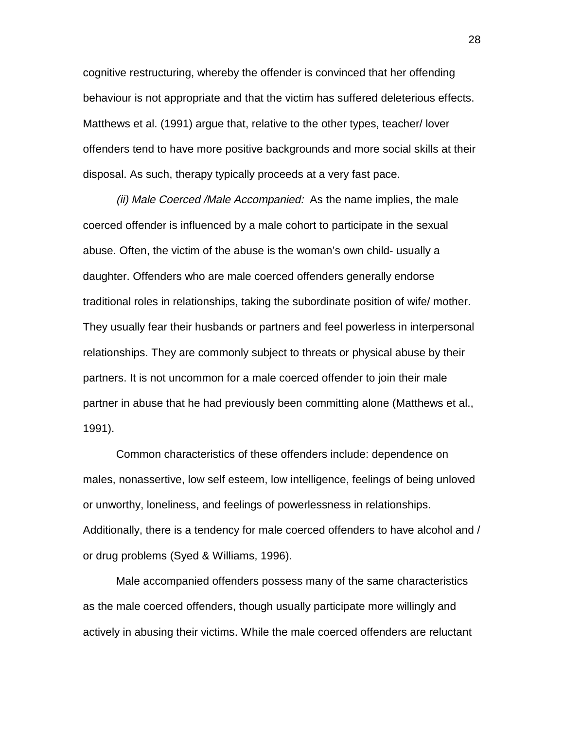cognitive restructuring, whereby the offender is convinced that her offending behaviour is not appropriate and that the victim has suffered deleterious effects. Matthews et al. (1991) argue that, relative to the other types, teacher/ lover offenders tend to have more positive backgrounds and more social skills at their disposal. As such, therapy typically proceeds at a very fast pace.

(ii) Male Coerced /Male Accompanied: As the name implies, the male coerced offender is influenced by a male cohort to participate in the sexual abuse. Often, the victim of the abuse is the woman's own child- usually a daughter. Offenders who are male coerced offenders generally endorse traditional roles in relationships, taking the subordinate position of wife/ mother. They usually fear their husbands or partners and feel powerless in interpersonal relationships. They are commonly subject to threats or physical abuse by their partners. It is not uncommon for a male coerced offender to join their male partner in abuse that he had previously been committing alone (Matthews et al., 1991).

Common characteristics of these offenders include: dependence on males, nonassertive, low self esteem, low intelligence, feelings of being unloved or unworthy, loneliness, and feelings of powerlessness in relationships. Additionally, there is a tendency for male coerced offenders to have alcohol and / or drug problems (Syed & Williams, 1996).

Male accompanied offenders possess many of the same characteristics as the male coerced offenders, though usually participate more willingly and actively in abusing their victims. While the male coerced offenders are reluctant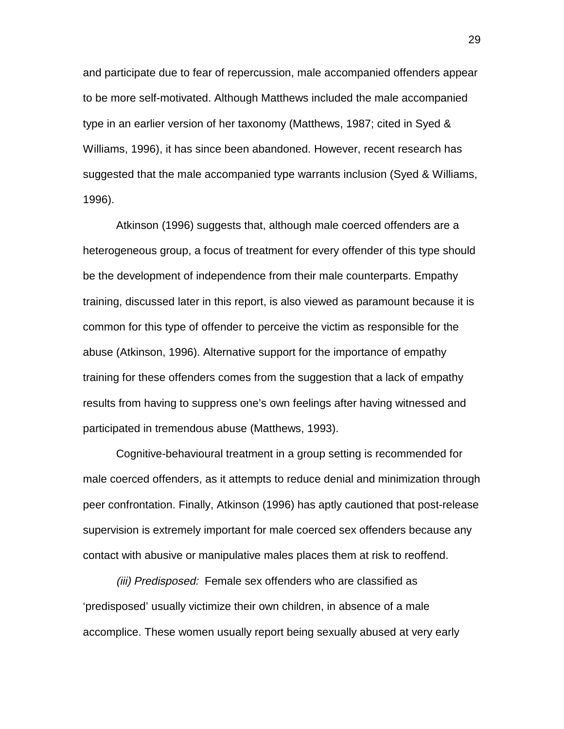and participate due to fear of repercussion, male accompanied offenders appear to be more self-motivated. Although Matthews included the male accompanied type in an earlier version of her taxonomy (Matthews, 1987; cited in Syed & Williams, 1996), it has since been abandoned. However, recent research has suggested that the male accompanied type warrants inclusion (Syed & Williams, 1996).

Atkinson (1996) suggests that, although male coerced offenders are a heterogeneous group, a focus of treatment for every offender of this type should be the development of independence from their male counterparts. Empathy training, discussed later in this report, is also viewed as paramount because it is common for this type of offender to perceive the victim as responsible for the abuse (Atkinson, 1996). Alternative support for the importance of empathy training for these offenders comes from the suggestion that a lack of empathy results from having to suppress one's own feelings after having witnessed and participated in tremendous abuse (Matthews, 1993).

Cognitive-behavioural treatment in a group setting is recommended for male coerced offenders, as it attempts to reduce denial and minimization through peer confrontation. Finally, Atkinson (1996) has aptly cautioned that post-release supervision is extremely important for male coerced sex offenders because any contact with abusive or manipulative males places them at risk to reoffend.

(iii) Predisposed: Female sex offenders who are classified as 'predisposed' usually victimize their own children, in absence of a male accomplice. These women usually report being sexually abused at very early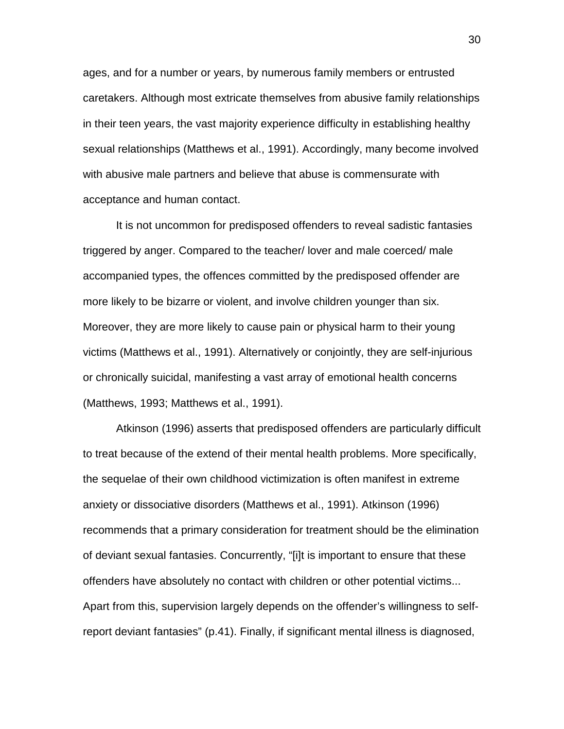ages, and for a number or years, by numerous family members or entrusted caretakers. Although most extricate themselves from abusive family relationships in their teen years, the vast majority experience difficulty in establishing healthy sexual relationships (Matthews et al., 1991). Accordingly, many become involved with abusive male partners and believe that abuse is commensurate with acceptance and human contact.

It is not uncommon for predisposed offenders to reveal sadistic fantasies triggered by anger. Compared to the teacher/ lover and male coerced/ male accompanied types, the offences committed by the predisposed offender are more likely to be bizarre or violent, and involve children younger than six. Moreover, they are more likely to cause pain or physical harm to their young victims (Matthews et al., 1991). Alternatively or conjointly, they are self-injurious or chronically suicidal, manifesting a vast array of emotional health concerns (Matthews, 1993; Matthews et al., 1991).

Atkinson (1996) asserts that predisposed offenders are particularly difficult to treat because of the extend of their mental health problems. More specifically, the sequelae of their own childhood victimization is often manifest in extreme anxiety or dissociative disorders (Matthews et al., 1991). Atkinson (1996) recommends that a primary consideration for treatment should be the elimination of deviant sexual fantasies. Concurrently, "[i]t is important to ensure that these offenders have absolutely no contact with children or other potential victims... Apart from this, supervision largely depends on the offender's willingness to selfreport deviant fantasies" (p.41). Finally, if significant mental illness is diagnosed,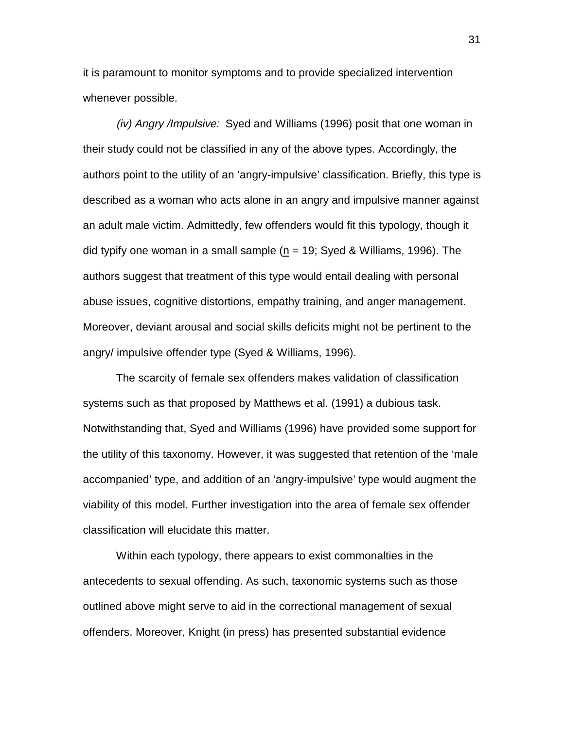it is paramount to monitor symptoms and to provide specialized intervention whenever possible.

(iv) Angry /Impulsive: Syed and Williams (1996) posit that one woman in their study could not be classified in any of the above types. Accordingly, the authors point to the utility of an 'angry-impulsive' classification. Briefly, this type is described as a woman who acts alone in an angry and impulsive manner against an adult male victim. Admittedly, few offenders would fit this typology, though it did typify one woman in a small sample ( $n = 19$ ; Syed & Williams, 1996). The authors suggest that treatment of this type would entail dealing with personal abuse issues, cognitive distortions, empathy training, and anger management. Moreover, deviant arousal and social skills deficits might not be pertinent to the angry/ impulsive offender type (Syed & Williams, 1996).

The scarcity of female sex offenders makes validation of classification systems such as that proposed by Matthews et al. (1991) a dubious task. Notwithstanding that, Syed and Williams (1996) have provided some support for the utility of this taxonomy. However, it was suggested that retention of the 'male accompanied' type, and addition of an 'angry-impulsive' type would augment the viability of this model. Further investigation into the area of female sex offender classification will elucidate this matter.

Within each typology, there appears to exist commonalties in the antecedents to sexual offending. As such, taxonomic systems such as those outlined above might serve to aid in the correctional management of sexual offenders. Moreover, Knight (in press) has presented substantial evidence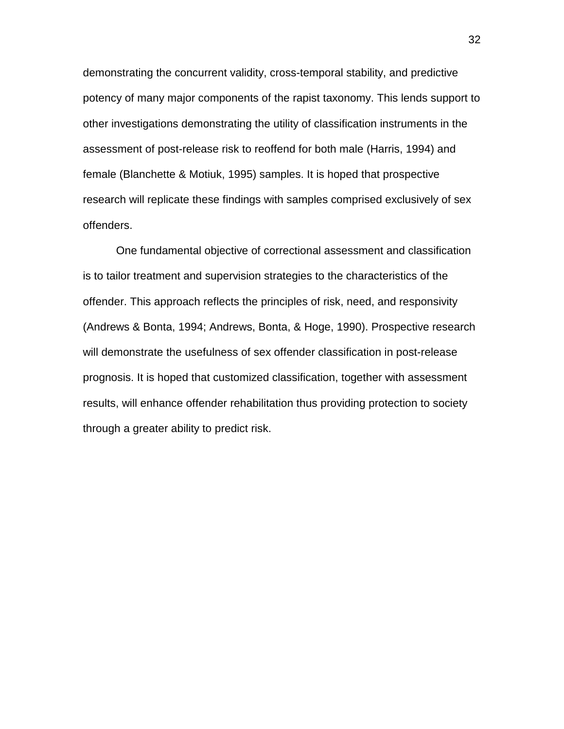demonstrating the concurrent validity, cross-temporal stability, and predictive potency of many major components of the rapist taxonomy. This lends support to other investigations demonstrating the utility of classification instruments in the assessment of post-release risk to reoffend for both male (Harris, 1994) and female (Blanchette & Motiuk, 1995) samples. It is hoped that prospective research will replicate these findings with samples comprised exclusively of sex offenders.

One fundamental objective of correctional assessment and classification is to tailor treatment and supervision strategies to the characteristics of the offender. This approach reflects the principles of risk, need, and responsivity (Andrews & Bonta, 1994; Andrews, Bonta, & Hoge, 1990). Prospective research will demonstrate the usefulness of sex offender classification in post-release prognosis. It is hoped that customized classification, together with assessment results, will enhance offender rehabilitation thus providing protection to society through a greater ability to predict risk.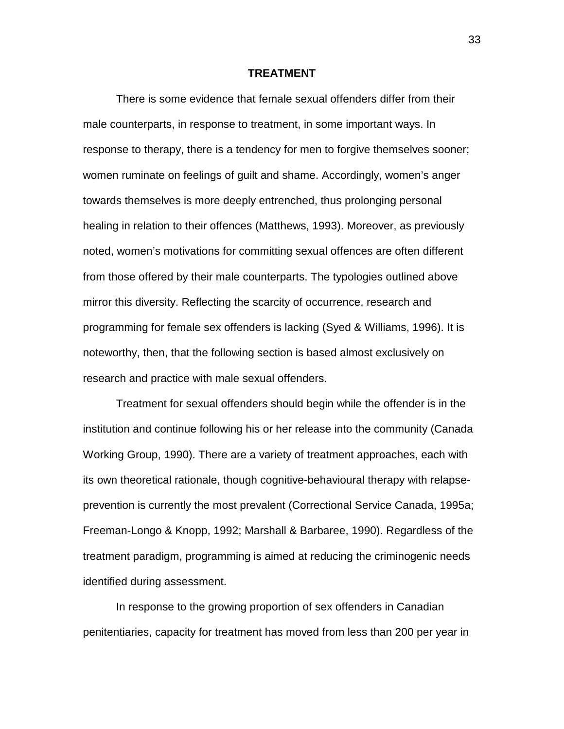### **TREATMENT**

There is some evidence that female sexual offenders differ from their male counterparts, in response to treatment, in some important ways. In response to therapy, there is a tendency for men to forgive themselves sooner; women ruminate on feelings of guilt and shame. Accordingly, women's anger towards themselves is more deeply entrenched, thus prolonging personal healing in relation to their offences (Matthews, 1993). Moreover, as previously noted, women's motivations for committing sexual offences are often different from those offered by their male counterparts. The typologies outlined above mirror this diversity. Reflecting the scarcity of occurrence, research and programming for female sex offenders is lacking (Syed & Williams, 1996). It is noteworthy, then, that the following section is based almost exclusively on research and practice with male sexual offenders.

Treatment for sexual offenders should begin while the offender is in the institution and continue following his or her release into the community (Canada Working Group, 1990). There are a variety of treatment approaches, each with its own theoretical rationale, though cognitive-behavioural therapy with relapseprevention is currently the most prevalent (Correctional Service Canada, 1995a; Freeman-Longo & Knopp, 1992; Marshall & Barbaree, 1990). Regardless of the treatment paradigm, programming is aimed at reducing the criminogenic needs identified during assessment.

In response to the growing proportion of sex offenders in Canadian penitentiaries, capacity for treatment has moved from less than 200 per year in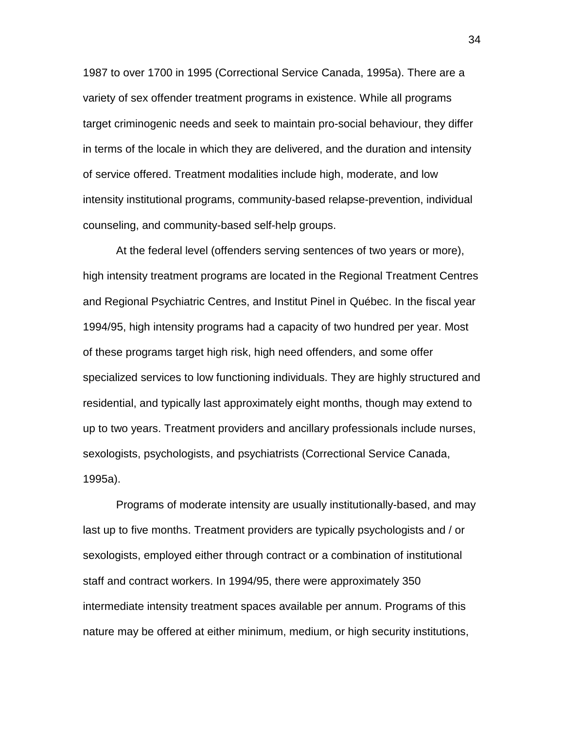1987 to over 1700 in 1995 (Correctional Service Canada, 1995a). There are a variety of sex offender treatment programs in existence. While all programs target criminogenic needs and seek to maintain pro-social behaviour, they differ in terms of the locale in which they are delivered, and the duration and intensity of service offered. Treatment modalities include high, moderate, and low intensity institutional programs, community-based relapse-prevention, individual counseling, and community-based self-help groups.

At the federal level (offenders serving sentences of two years or more), high intensity treatment programs are located in the Regional Treatment Centres and Regional Psychiatric Centres, and Institut Pinel in Québec. In the fiscal year 1994/95, high intensity programs had a capacity of two hundred per year. Most of these programs target high risk, high need offenders, and some offer specialized services to low functioning individuals. They are highly structured and residential, and typically last approximately eight months, though may extend to up to two years. Treatment providers and ancillary professionals include nurses, sexologists, psychologists, and psychiatrists (Correctional Service Canada, 1995a).

Programs of moderate intensity are usually institutionally-based, and may last up to five months. Treatment providers are typically psychologists and / or sexologists, employed either through contract or a combination of institutional staff and contract workers. In 1994/95, there were approximately 350 intermediate intensity treatment spaces available per annum. Programs of this nature may be offered at either minimum, medium, or high security institutions,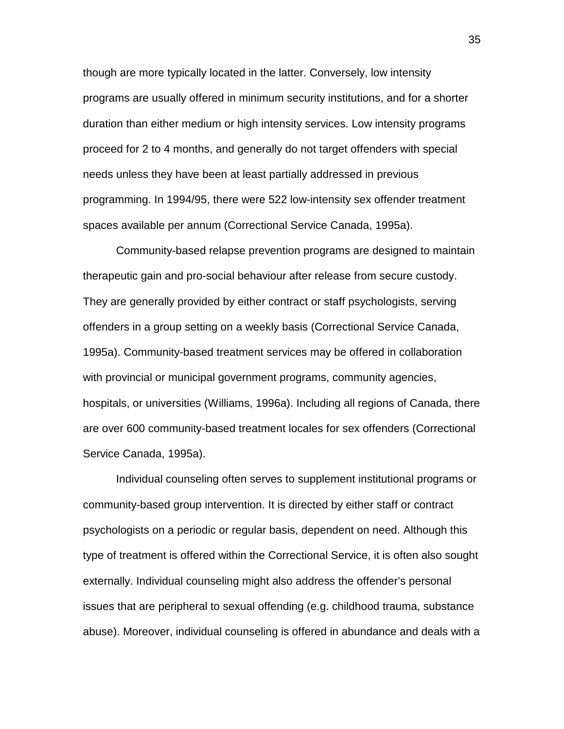though are more typically located in the latter. Conversely, low intensity programs are usually offered in minimum security institutions, and for a shorter duration than either medium or high intensity services. Low intensity programs proceed for 2 to 4 months, and generally do not target offenders with special needs unless they have been at least partially addressed in previous programming. In 1994/95, there were 522 low-intensity sex offender treatment spaces available per annum (Correctional Service Canada, 1995a).

Community-based relapse prevention programs are designed to maintain therapeutic gain and pro-social behaviour after release from secure custody. They are generally provided by either contract or staff psychologists, serving offenders in a group setting on a weekly basis (Correctional Service Canada, 1995a). Community-based treatment services may be offered in collaboration with provincial or municipal government programs, community agencies, hospitals, or universities (Williams, 1996a). Including all regions of Canada, there are over 600 community-based treatment locales for sex offenders (Correctional Service Canada, 1995a).

Individual counseling often serves to supplement institutional programs or community-based group intervention. It is directed by either staff or contract psychologists on a periodic or regular basis, dependent on need. Although this type of treatment is offered within the Correctional Service, it is often also sought externally. Individual counseling might also address the offender's personal issues that are peripheral to sexual offending (e.g. childhood trauma, substance abuse). Moreover, individual counseling is offered in abundance and deals with a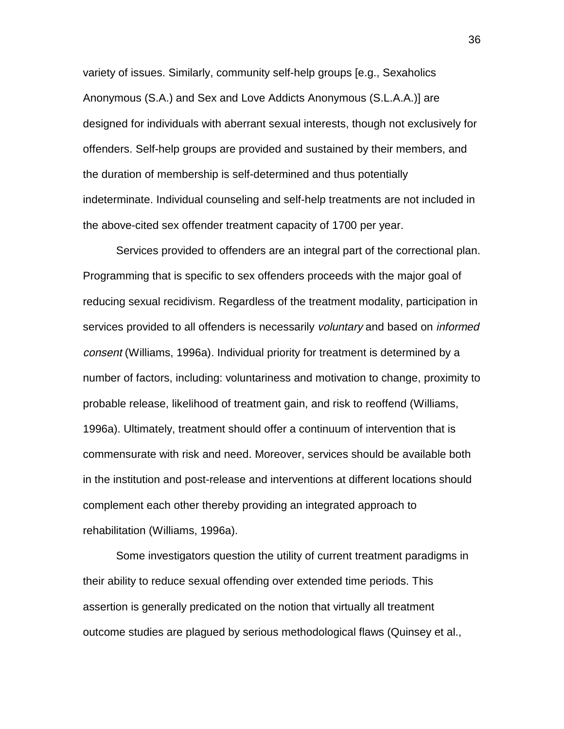variety of issues. Similarly, community self-help groups [e.g., Sexaholics Anonymous (S.A.) and Sex and Love Addicts Anonymous (S.L.A.A.)] are designed for individuals with aberrant sexual interests, though not exclusively for offenders. Self-help groups are provided and sustained by their members, and the duration of membership is self-determined and thus potentially indeterminate. Individual counseling and self-help treatments are not included in the above-cited sex offender treatment capacity of 1700 per year.

Services provided to offenders are an integral part of the correctional plan. Programming that is specific to sex offenders proceeds with the major goal of reducing sexual recidivism. Regardless of the treatment modality, participation in services provided to all offenders is necessarily voluntary and based on *informed* consent (Williams, 1996a). Individual priority for treatment is determined by a number of factors, including: voluntariness and motivation to change, proximity to probable release, likelihood of treatment gain, and risk to reoffend (Williams, 1996a). Ultimately, treatment should offer a continuum of intervention that is commensurate with risk and need. Moreover, services should be available both in the institution and post-release and interventions at different locations should complement each other thereby providing an integrated approach to rehabilitation (Williams, 1996a).

Some investigators question the utility of current treatment paradigms in their ability to reduce sexual offending over extended time periods. This assertion is generally predicated on the notion that virtually all treatment outcome studies are plagued by serious methodological flaws (Quinsey et al.,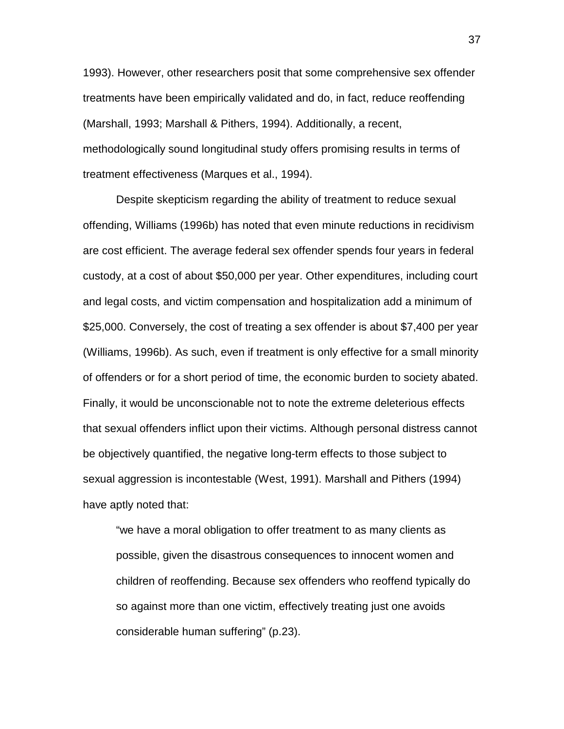1993). However, other researchers posit that some comprehensive sex offender treatments have been empirically validated and do, in fact, reduce reoffending (Marshall, 1993; Marshall & Pithers, 1994). Additionally, a recent, methodologically sound longitudinal study offers promising results in terms of treatment effectiveness (Marques et al., 1994).

Despite skepticism regarding the ability of treatment to reduce sexual offending, Williams (1996b) has noted that even minute reductions in recidivism are cost efficient. The average federal sex offender spends four years in federal custody, at a cost of about \$50,000 per year. Other expenditures, including court and legal costs, and victim compensation and hospitalization add a minimum of \$25,000. Conversely, the cost of treating a sex offender is about \$7,400 per year (Williams, 1996b). As such, even if treatment is only effective for a small minority of offenders or for a short period of time, the economic burden to society abated. Finally, it would be unconscionable not to note the extreme deleterious effects that sexual offenders inflict upon their victims. Although personal distress cannot be objectively quantified, the negative long-term effects to those subject to sexual aggression is incontestable (West, 1991). Marshall and Pithers (1994) have aptly noted that:

"we have a moral obligation to offer treatment to as many clients as possible, given the disastrous consequences to innocent women and children of reoffending. Because sex offenders who reoffend typically do so against more than one victim, effectively treating just one avoids considerable human suffering" (p.23).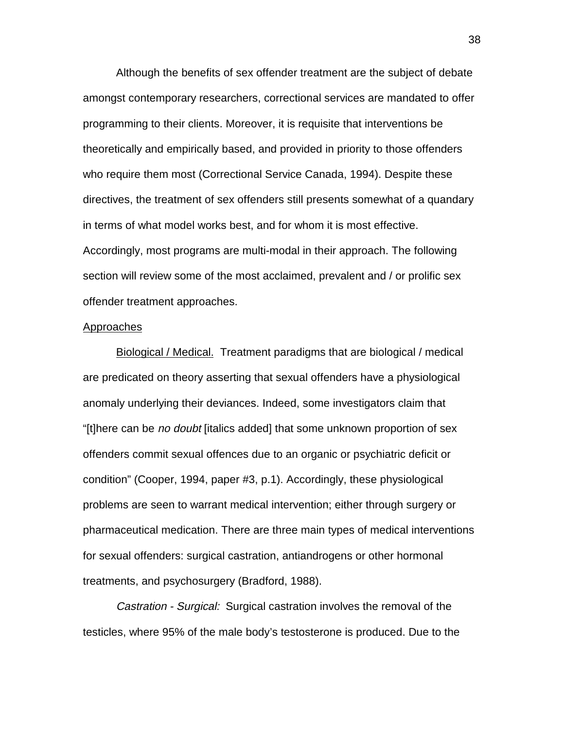Although the benefits of sex offender treatment are the subject of debate amongst contemporary researchers, correctional services are mandated to offer programming to their clients. Moreover, it is requisite that interventions be theoretically and empirically based, and provided in priority to those offenders who require them most (Correctional Service Canada, 1994). Despite these directives, the treatment of sex offenders still presents somewhat of a quandary in terms of what model works best, and for whom it is most effective. Accordingly, most programs are multi-modal in their approach. The following section will review some of the most acclaimed, prevalent and / or prolific sex offender treatment approaches.

### **Approaches**

Biological / Medical. Treatment paradigms that are biological / medical are predicated on theory asserting that sexual offenders have a physiological anomaly underlying their deviances. Indeed, some investigators claim that "[t]here can be no doubt [italics added] that some unknown proportion of sex offenders commit sexual offences due to an organic or psychiatric deficit or condition" (Cooper, 1994, paper #3, p.1). Accordingly, these physiological problems are seen to warrant medical intervention; either through surgery or pharmaceutical medication. There are three main types of medical interventions for sexual offenders: surgical castration, antiandrogens or other hormonal treatments, and psychosurgery (Bradford, 1988).

Castration - Surgical: Surgical castration involves the removal of the testicles, where 95% of the male body's testosterone is produced. Due to the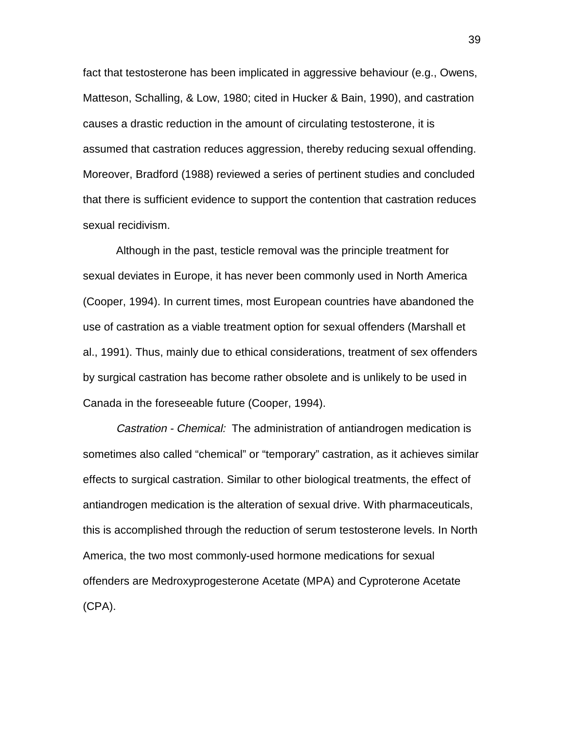fact that testosterone has been implicated in aggressive behaviour (e.g., Owens, Matteson, Schalling, & Low, 1980; cited in Hucker & Bain, 1990), and castration causes a drastic reduction in the amount of circulating testosterone, it is assumed that castration reduces aggression, thereby reducing sexual offending. Moreover, Bradford (1988) reviewed a series of pertinent studies and concluded that there is sufficient evidence to support the contention that castration reduces sexual recidivism.

Although in the past, testicle removal was the principle treatment for sexual deviates in Europe, it has never been commonly used in North America (Cooper, 1994). In current times, most European countries have abandoned the use of castration as a viable treatment option for sexual offenders (Marshall et al., 1991). Thus, mainly due to ethical considerations, treatment of sex offenders by surgical castration has become rather obsolete and is unlikely to be used in Canada in the foreseeable future (Cooper, 1994).

Castration - Chemical: The administration of antiandrogen medication is sometimes also called "chemical" or "temporary" castration, as it achieves similar effects to surgical castration. Similar to other biological treatments, the effect of antiandrogen medication is the alteration of sexual drive. With pharmaceuticals, this is accomplished through the reduction of serum testosterone levels. In North America, the two most commonly-used hormone medications for sexual offenders are Medroxyprogesterone Acetate (MPA) and Cyproterone Acetate (CPA).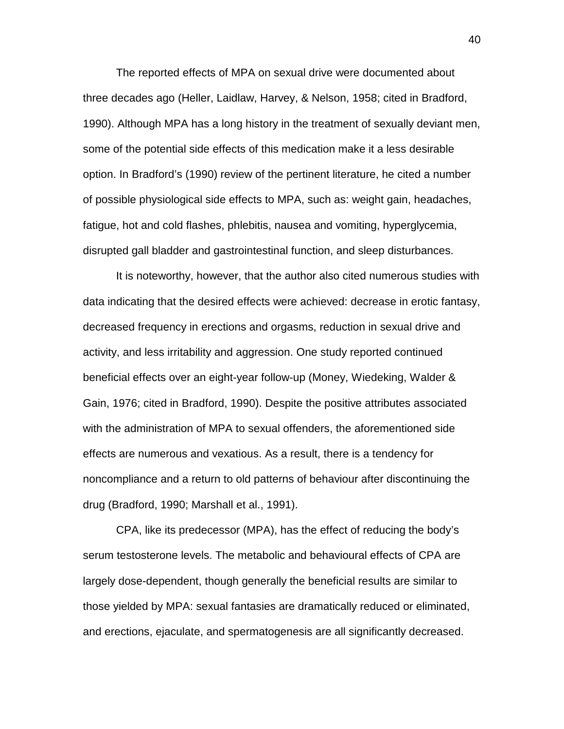The reported effects of MPA on sexual drive were documented about three decades ago (Heller, Laidlaw, Harvey, & Nelson, 1958; cited in Bradford, 1990). Although MPA has a long history in the treatment of sexually deviant men, some of the potential side effects of this medication make it a less desirable option. In Bradford's (1990) review of the pertinent literature, he cited a number of possible physiological side effects to MPA, such as: weight gain, headaches, fatigue, hot and cold flashes, phlebitis, nausea and vomiting, hyperglycemia, disrupted gall bladder and gastrointestinal function, and sleep disturbances.

It is noteworthy, however, that the author also cited numerous studies with data indicating that the desired effects were achieved: decrease in erotic fantasy, decreased frequency in erections and orgasms, reduction in sexual drive and activity, and less irritability and aggression. One study reported continued beneficial effects over an eight-year follow-up (Money, Wiedeking, Walder & Gain, 1976; cited in Bradford, 1990). Despite the positive attributes associated with the administration of MPA to sexual offenders, the aforementioned side effects are numerous and vexatious. As a result, there is a tendency for noncompliance and a return to old patterns of behaviour after discontinuing the drug (Bradford, 1990; Marshall et al., 1991).

CPA, like its predecessor (MPA), has the effect of reducing the body's serum testosterone levels. The metabolic and behavioural effects of CPA are largely dose-dependent, though generally the beneficial results are similar to those yielded by MPA: sexual fantasies are dramatically reduced or eliminated, and erections, ejaculate, and spermatogenesis are all significantly decreased.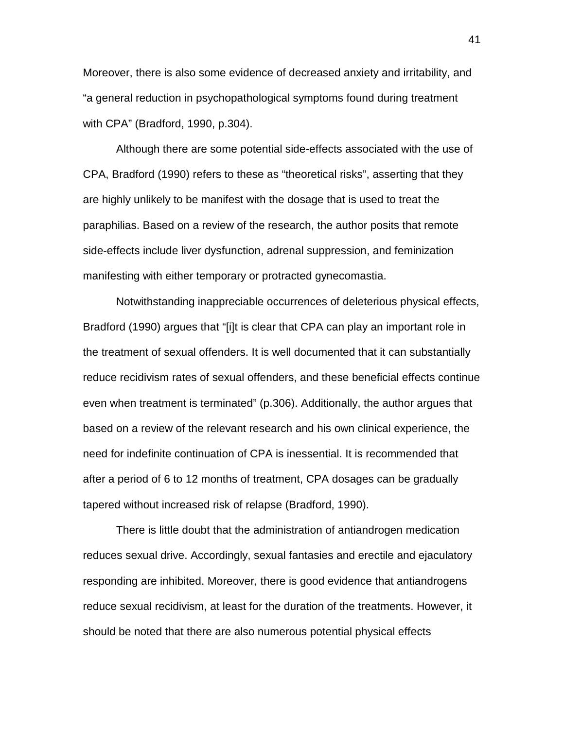Moreover, there is also some evidence of decreased anxiety and irritability, and "a general reduction in psychopathological symptoms found during treatment with CPA" (Bradford, 1990, p.304).

Although there are some potential side-effects associated with the use of CPA, Bradford (1990) refers to these as "theoretical risks", asserting that they are highly unlikely to be manifest with the dosage that is used to treat the paraphilias. Based on a review of the research, the author posits that remote side-effects include liver dysfunction, adrenal suppression, and feminization manifesting with either temporary or protracted gynecomastia.

Notwithstanding inappreciable occurrences of deleterious physical effects, Bradford (1990) argues that "[i]t is clear that CPA can play an important role in the treatment of sexual offenders. It is well documented that it can substantially reduce recidivism rates of sexual offenders, and these beneficial effects continue even when treatment is terminated" (p.306). Additionally, the author argues that based on a review of the relevant research and his own clinical experience, the need for indefinite continuation of CPA is inessential. It is recommended that after a period of 6 to 12 months of treatment, CPA dosages can be gradually tapered without increased risk of relapse (Bradford, 1990).

There is little doubt that the administration of antiandrogen medication reduces sexual drive. Accordingly, sexual fantasies and erectile and ejaculatory responding are inhibited. Moreover, there is good evidence that antiandrogens reduce sexual recidivism, at least for the duration of the treatments. However, it should be noted that there are also numerous potential physical effects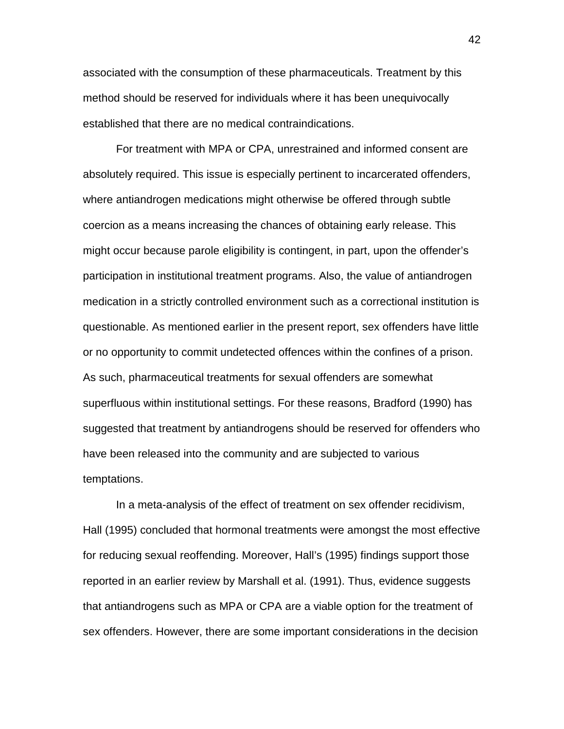associated with the consumption of these pharmaceuticals. Treatment by this method should be reserved for individuals where it has been unequivocally established that there are no medical contraindications.

For treatment with MPA or CPA, unrestrained and informed consent are absolutely required. This issue is especially pertinent to incarcerated offenders, where antiandrogen medications might otherwise be offered through subtle coercion as a means increasing the chances of obtaining early release. This might occur because parole eligibility is contingent, in part, upon the offender's participation in institutional treatment programs. Also, the value of antiandrogen medication in a strictly controlled environment such as a correctional institution is questionable. As mentioned earlier in the present report, sex offenders have little or no opportunity to commit undetected offences within the confines of a prison. As such, pharmaceutical treatments for sexual offenders are somewhat superfluous within institutional settings. For these reasons, Bradford (1990) has suggested that treatment by antiandrogens should be reserved for offenders who have been released into the community and are subjected to various temptations.

In a meta-analysis of the effect of treatment on sex offender recidivism, Hall (1995) concluded that hormonal treatments were amongst the most effective for reducing sexual reoffending. Moreover, Hall's (1995) findings support those reported in an earlier review by Marshall et al. (1991). Thus, evidence suggests that antiandrogens such as MPA or CPA are a viable option for the treatment of sex offenders. However, there are some important considerations in the decision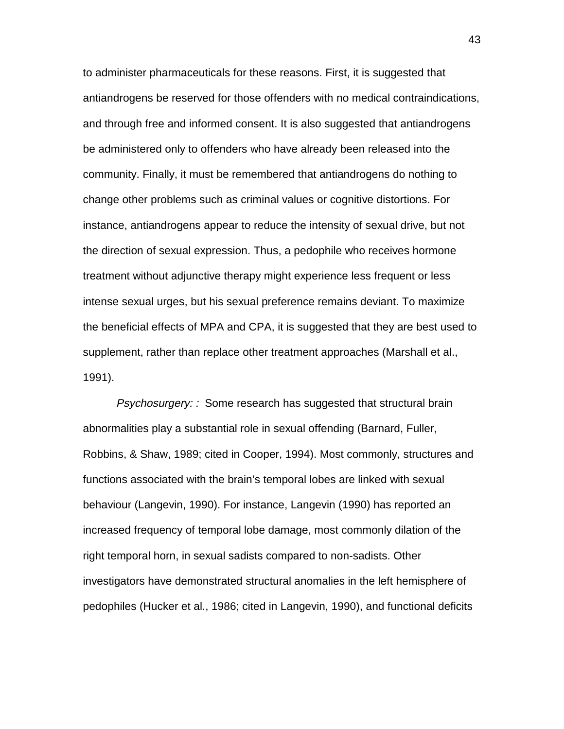to administer pharmaceuticals for these reasons. First, it is suggested that antiandrogens be reserved for those offenders with no medical contraindications, and through free and informed consent. It is also suggested that antiandrogens be administered only to offenders who have already been released into the community. Finally, it must be remembered that antiandrogens do nothing to change other problems such as criminal values or cognitive distortions. For instance, antiandrogens appear to reduce the intensity of sexual drive, but not the direction of sexual expression. Thus, a pedophile who receives hormone treatment without adjunctive therapy might experience less frequent or less intense sexual urges, but his sexual preference remains deviant. To maximize the beneficial effects of MPA and CPA, it is suggested that they are best used to supplement, rather than replace other treatment approaches (Marshall et al., 1991).

Psychosurgery: : Some research has suggested that structural brain abnormalities play a substantial role in sexual offending (Barnard, Fuller, Robbins, & Shaw, 1989; cited in Cooper, 1994). Most commonly, structures and functions associated with the brain's temporal lobes are linked with sexual behaviour (Langevin, 1990). For instance, Langevin (1990) has reported an increased frequency of temporal lobe damage, most commonly dilation of the right temporal horn, in sexual sadists compared to non-sadists. Other investigators have demonstrated structural anomalies in the left hemisphere of pedophiles (Hucker et al., 1986; cited in Langevin, 1990), and functional deficits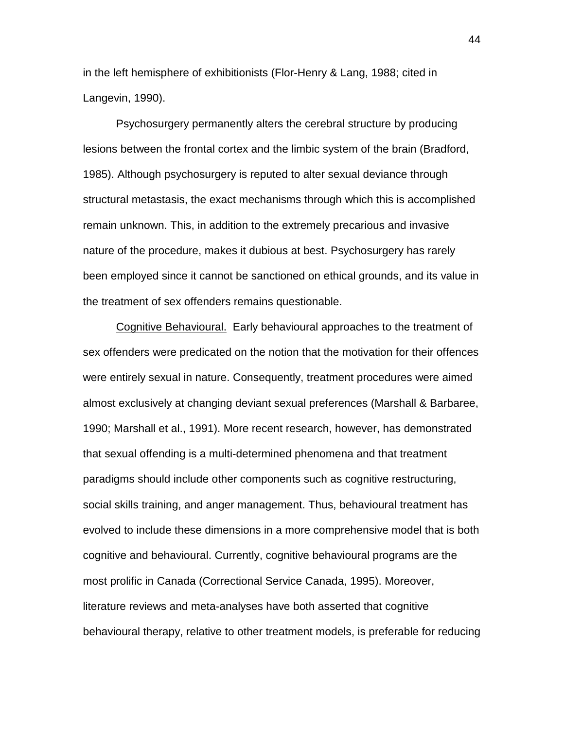in the left hemisphere of exhibitionists (Flor-Henry & Lang, 1988; cited in Langevin, 1990).

Psychosurgery permanently alters the cerebral structure by producing lesions between the frontal cortex and the limbic system of the brain (Bradford, 1985). Although psychosurgery is reputed to alter sexual deviance through structural metastasis, the exact mechanisms through which this is accomplished remain unknown. This, in addition to the extremely precarious and invasive nature of the procedure, makes it dubious at best. Psychosurgery has rarely been employed since it cannot be sanctioned on ethical grounds, and its value in the treatment of sex offenders remains questionable.

Cognitive Behavioural. Early behavioural approaches to the treatment of sex offenders were predicated on the notion that the motivation for their offences were entirely sexual in nature. Consequently, treatment procedures were aimed almost exclusively at changing deviant sexual preferences (Marshall & Barbaree, 1990; Marshall et al., 1991). More recent research, however, has demonstrated that sexual offending is a multi-determined phenomena and that treatment paradigms should include other components such as cognitive restructuring, social skills training, and anger management. Thus, behavioural treatment has evolved to include these dimensions in a more comprehensive model that is both cognitive and behavioural. Currently, cognitive behavioural programs are the most prolific in Canada (Correctional Service Canada, 1995). Moreover, literature reviews and meta-analyses have both asserted that cognitive behavioural therapy, relative to other treatment models, is preferable for reducing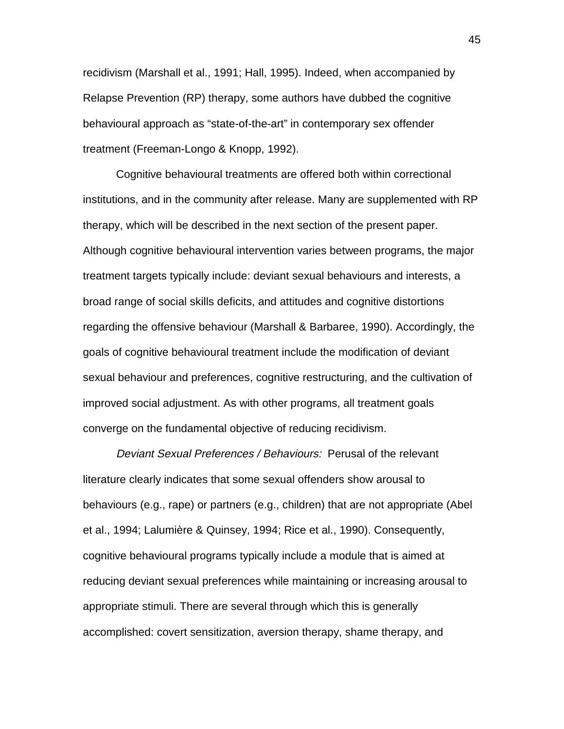recidivism (Marshall et al., 1991; Hall, 1995). Indeed, when accompanied by Relapse Prevention (RP) therapy, some authors have dubbed the cognitive behavioural approach as "state-of-the-art" in contemporary sex offender treatment (Freeman-Longo & Knopp, 1992).

Cognitive behavioural treatments are offered both within correctional institutions, and in the community after release. Many are supplemented with RP therapy, which will be described in the next section of the present paper. Although cognitive behavioural intervention varies between programs, the major treatment targets typically include: deviant sexual behaviours and interests, a broad range of social skills deficits, and attitudes and cognitive distortions regarding the offensive behaviour (Marshall & Barbaree, 1990). Accordingly, the goals of cognitive behavioural treatment include the modification of deviant sexual behaviour and preferences, cognitive restructuring, and the cultivation of improved social adjustment. As with other programs, all treatment goals converge on the fundamental objective of reducing recidivism.

Deviant Sexual Preferences / Behaviours: Perusal of the relevant literature clearly indicates that some sexual offenders show arousal to behaviours (e.g., rape) or partners (e.g., children) that are not appropriate (Abel et al., 1994; Lalumière & Quinsey, 1994; Rice et al., 1990). Consequently, cognitive behavioural programs typically include a module that is aimed at reducing deviant sexual preferences while maintaining or increasing arousal to appropriate stimuli. There are several through which this is generally accomplished: covert sensitization, aversion therapy, shame therapy, and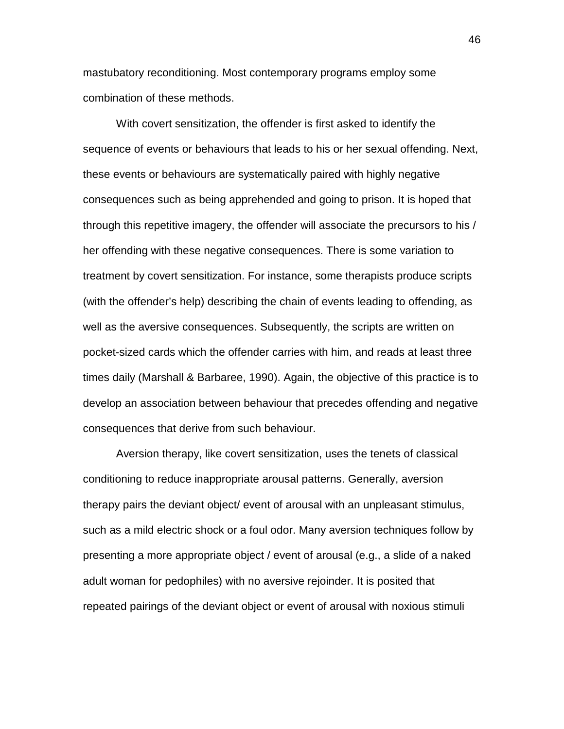mastubatory reconditioning. Most contemporary programs employ some combination of these methods.

With covert sensitization, the offender is first asked to identify the sequence of events or behaviours that leads to his or her sexual offending. Next, these events or behaviours are systematically paired with highly negative consequences such as being apprehended and going to prison. It is hoped that through this repetitive imagery, the offender will associate the precursors to his / her offending with these negative consequences. There is some variation to treatment by covert sensitization. For instance, some therapists produce scripts (with the offender's help) describing the chain of events leading to offending, as well as the aversive consequences. Subsequently, the scripts are written on pocket-sized cards which the offender carries with him, and reads at least three times daily (Marshall & Barbaree, 1990). Again, the objective of this practice is to develop an association between behaviour that precedes offending and negative consequences that derive from such behaviour.

Aversion therapy, like covert sensitization, uses the tenets of classical conditioning to reduce inappropriate arousal patterns. Generally, aversion therapy pairs the deviant object/ event of arousal with an unpleasant stimulus, such as a mild electric shock or a foul odor. Many aversion techniques follow by presenting a more appropriate object / event of arousal (e.g., a slide of a naked adult woman for pedophiles) with no aversive rejoinder. It is posited that repeated pairings of the deviant object or event of arousal with noxious stimuli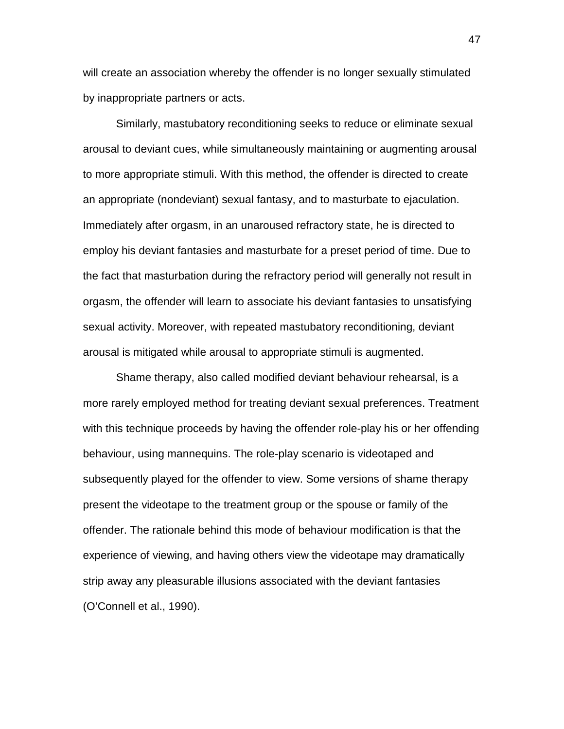will create an association whereby the offender is no longer sexually stimulated by inappropriate partners or acts.

Similarly, mastubatory reconditioning seeks to reduce or eliminate sexual arousal to deviant cues, while simultaneously maintaining or augmenting arousal to more appropriate stimuli. With this method, the offender is directed to create an appropriate (nondeviant) sexual fantasy, and to masturbate to ejaculation. Immediately after orgasm, in an unaroused refractory state, he is directed to employ his deviant fantasies and masturbate for a preset period of time. Due to the fact that masturbation during the refractory period will generally not result in orgasm, the offender will learn to associate his deviant fantasies to unsatisfying sexual activity. Moreover, with repeated mastubatory reconditioning, deviant arousal is mitigated while arousal to appropriate stimuli is augmented.

Shame therapy, also called modified deviant behaviour rehearsal, is a more rarely employed method for treating deviant sexual preferences. Treatment with this technique proceeds by having the offender role-play his or her offending behaviour, using mannequins. The role-play scenario is videotaped and subsequently played for the offender to view. Some versions of shame therapy present the videotape to the treatment group or the spouse or family of the offender. The rationale behind this mode of behaviour modification is that the experience of viewing, and having others view the videotape may dramatically strip away any pleasurable illusions associated with the deviant fantasies (O'Connell et al., 1990).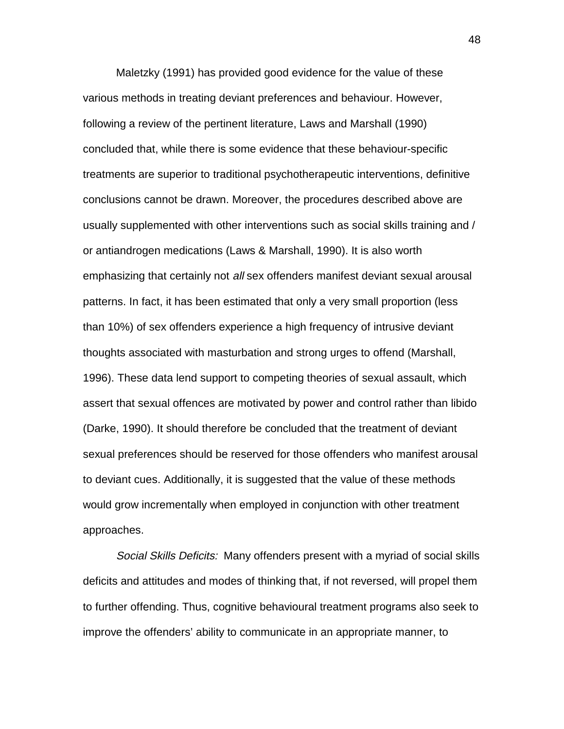Maletzky (1991) has provided good evidence for the value of these various methods in treating deviant preferences and behaviour. However, following a review of the pertinent literature, Laws and Marshall (1990) concluded that, while there is some evidence that these behaviour-specific treatments are superior to traditional psychotherapeutic interventions, definitive conclusions cannot be drawn. Moreover, the procedures described above are usually supplemented with other interventions such as social skills training and / or antiandrogen medications (Laws & Marshall, 1990). It is also worth emphasizing that certainly not all sex offenders manifest deviant sexual arousal patterns. In fact, it has been estimated that only a very small proportion (less than 10%) of sex offenders experience a high frequency of intrusive deviant thoughts associated with masturbation and strong urges to offend (Marshall, 1996). These data lend support to competing theories of sexual assault, which assert that sexual offences are motivated by power and control rather than libido (Darke, 1990). It should therefore be concluded that the treatment of deviant sexual preferences should be reserved for those offenders who manifest arousal to deviant cues. Additionally, it is suggested that the value of these methods would grow incrementally when employed in conjunction with other treatment approaches.

Social Skills Deficits: Many offenders present with a myriad of social skills deficits and attitudes and modes of thinking that, if not reversed, will propel them to further offending. Thus, cognitive behavioural treatment programs also seek to improve the offenders' ability to communicate in an appropriate manner, to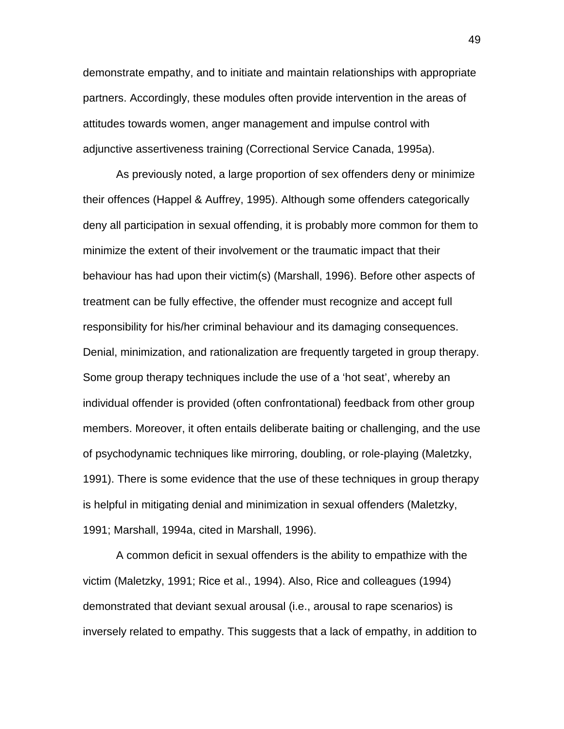demonstrate empathy, and to initiate and maintain relationships with appropriate partners. Accordingly, these modules often provide intervention in the areas of attitudes towards women, anger management and impulse control with adjunctive assertiveness training (Correctional Service Canada, 1995a).

As previously noted, a large proportion of sex offenders deny or minimize their offences (Happel & Auffrey, 1995). Although some offenders categorically deny all participation in sexual offending, it is probably more common for them to minimize the extent of their involvement or the traumatic impact that their behaviour has had upon their victim(s) (Marshall, 1996). Before other aspects of treatment can be fully effective, the offender must recognize and accept full responsibility for his/her criminal behaviour and its damaging consequences. Denial, minimization, and rationalization are frequently targeted in group therapy. Some group therapy techniques include the use of a 'hot seat', whereby an individual offender is provided (often confrontational) feedback from other group members. Moreover, it often entails deliberate baiting or challenging, and the use of psychodynamic techniques like mirroring, doubling, or role-playing (Maletzky, 1991). There is some evidence that the use of these techniques in group therapy is helpful in mitigating denial and minimization in sexual offenders (Maletzky, 1991; Marshall, 1994a, cited in Marshall, 1996).

A common deficit in sexual offenders is the ability to empathize with the victim (Maletzky, 1991; Rice et al., 1994). Also, Rice and colleagues (1994) demonstrated that deviant sexual arousal (i.e., arousal to rape scenarios) is inversely related to empathy. This suggests that a lack of empathy, in addition to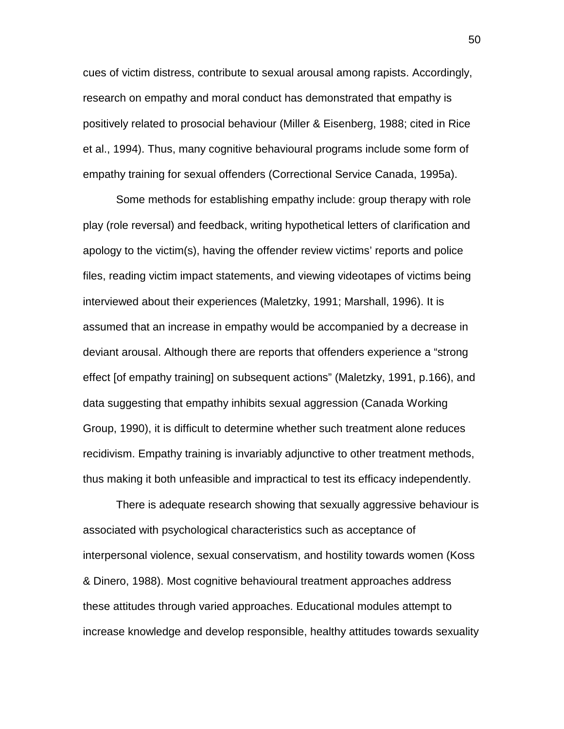cues of victim distress, contribute to sexual arousal among rapists. Accordingly, research on empathy and moral conduct has demonstrated that empathy is positively related to prosocial behaviour (Miller & Eisenberg, 1988; cited in Rice et al., 1994). Thus, many cognitive behavioural programs include some form of empathy training for sexual offenders (Correctional Service Canada, 1995a).

Some methods for establishing empathy include: group therapy with role play (role reversal) and feedback, writing hypothetical letters of clarification and apology to the victim(s), having the offender review victims' reports and police files, reading victim impact statements, and viewing videotapes of victims being interviewed about their experiences (Maletzky, 1991; Marshall, 1996). It is assumed that an increase in empathy would be accompanied by a decrease in deviant arousal. Although there are reports that offenders experience a "strong effect [of empathy training] on subsequent actions" (Maletzky, 1991, p.166), and data suggesting that empathy inhibits sexual aggression (Canada Working Group, 1990), it is difficult to determine whether such treatment alone reduces recidivism. Empathy training is invariably adjunctive to other treatment methods, thus making it both unfeasible and impractical to test its efficacy independently.

There is adequate research showing that sexually aggressive behaviour is associated with psychological characteristics such as acceptance of interpersonal violence, sexual conservatism, and hostility towards women (Koss & Dinero, 1988). Most cognitive behavioural treatment approaches address these attitudes through varied approaches. Educational modules attempt to increase knowledge and develop responsible, healthy attitudes towards sexuality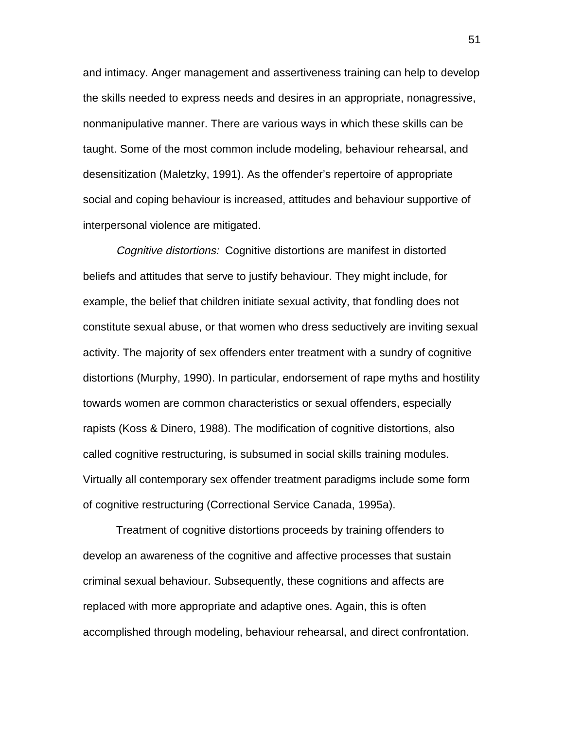and intimacy. Anger management and assertiveness training can help to develop the skills needed to express needs and desires in an appropriate, nonagressive, nonmanipulative manner. There are various ways in which these skills can be taught. Some of the most common include modeling, behaviour rehearsal, and desensitization (Maletzky, 1991). As the offender's repertoire of appropriate social and coping behaviour is increased, attitudes and behaviour supportive of interpersonal violence are mitigated.

Cognitive distortions: Cognitive distortions are manifest in distorted beliefs and attitudes that serve to justify behaviour. They might include, for example, the belief that children initiate sexual activity, that fondling does not constitute sexual abuse, or that women who dress seductively are inviting sexual activity. The majority of sex offenders enter treatment with a sundry of cognitive distortions (Murphy, 1990). In particular, endorsement of rape myths and hostility towards women are common characteristics or sexual offenders, especially rapists (Koss & Dinero, 1988). The modification of cognitive distortions, also called cognitive restructuring, is subsumed in social skills training modules. Virtually all contemporary sex offender treatment paradigms include some form of cognitive restructuring (Correctional Service Canada, 1995a).

Treatment of cognitive distortions proceeds by training offenders to develop an awareness of the cognitive and affective processes that sustain criminal sexual behaviour. Subsequently, these cognitions and affects are replaced with more appropriate and adaptive ones. Again, this is often accomplished through modeling, behaviour rehearsal, and direct confrontation.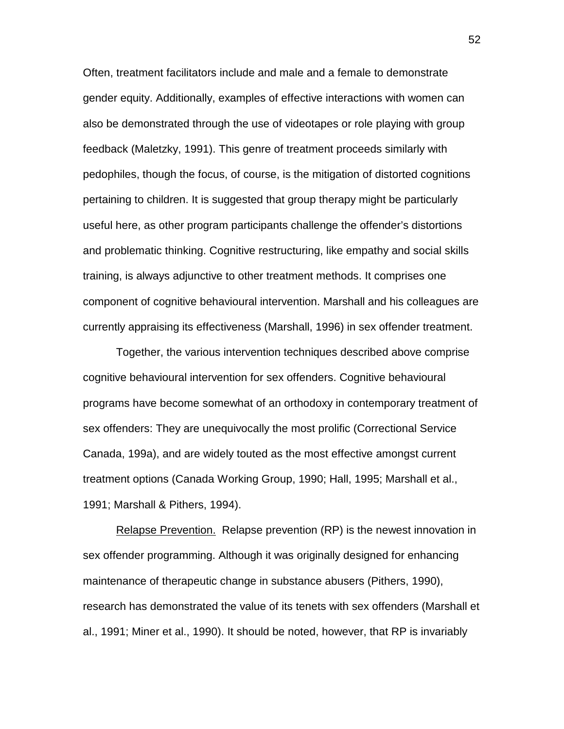Often, treatment facilitators include and male and a female to demonstrate gender equity. Additionally, examples of effective interactions with women can also be demonstrated through the use of videotapes or role playing with group feedback (Maletzky, 1991). This genre of treatment proceeds similarly with pedophiles, though the focus, of course, is the mitigation of distorted cognitions pertaining to children. It is suggested that group therapy might be particularly useful here, as other program participants challenge the offender's distortions and problematic thinking. Cognitive restructuring, like empathy and social skills training, is always adjunctive to other treatment methods. It comprises one component of cognitive behavioural intervention. Marshall and his colleagues are currently appraising its effectiveness (Marshall, 1996) in sex offender treatment.

Together, the various intervention techniques described above comprise cognitive behavioural intervention for sex offenders. Cognitive behavioural programs have become somewhat of an orthodoxy in contemporary treatment of sex offenders: They are unequivocally the most prolific (Correctional Service Canada, 199a), and are widely touted as the most effective amongst current treatment options (Canada Working Group, 1990; Hall, 1995; Marshall et al., 1991; Marshall & Pithers, 1994).

Relapse Prevention. Relapse prevention (RP) is the newest innovation in sex offender programming. Although it was originally designed for enhancing maintenance of therapeutic change in substance abusers (Pithers, 1990), research has demonstrated the value of its tenets with sex offenders (Marshall et al., 1991; Miner et al., 1990). It should be noted, however, that RP is invariably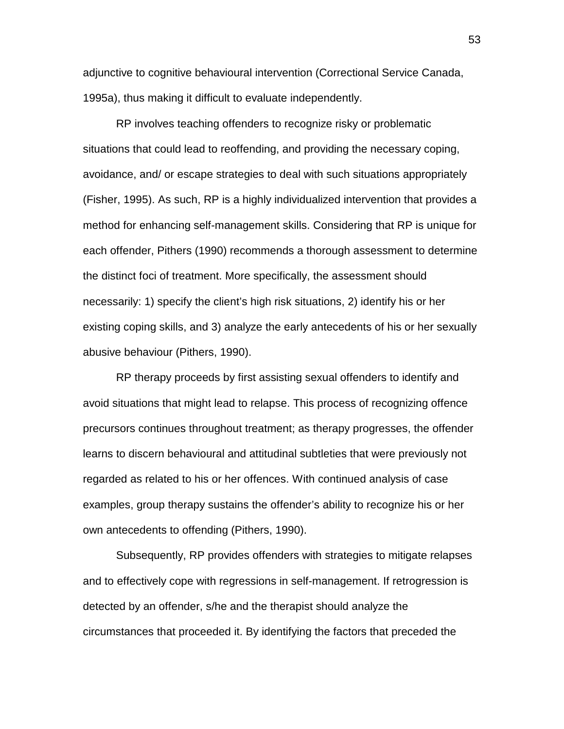adjunctive to cognitive behavioural intervention (Correctional Service Canada, 1995a), thus making it difficult to evaluate independently.

RP involves teaching offenders to recognize risky or problematic situations that could lead to reoffending, and providing the necessary coping, avoidance, and/ or escape strategies to deal with such situations appropriately (Fisher, 1995). As such, RP is a highly individualized intervention that provides a method for enhancing self-management skills. Considering that RP is unique for each offender, Pithers (1990) recommends a thorough assessment to determine the distinct foci of treatment. More specifically, the assessment should necessarily: 1) specify the client's high risk situations, 2) identify his or her existing coping skills, and 3) analyze the early antecedents of his or her sexually abusive behaviour (Pithers, 1990).

RP therapy proceeds by first assisting sexual offenders to identify and avoid situations that might lead to relapse. This process of recognizing offence precursors continues throughout treatment; as therapy progresses, the offender learns to discern behavioural and attitudinal subtleties that were previously not regarded as related to his or her offences. With continued analysis of case examples, group therapy sustains the offender's ability to recognize his or her own antecedents to offending (Pithers, 1990).

Subsequently, RP provides offenders with strategies to mitigate relapses and to effectively cope with regressions in self-management. If retrogression is detected by an offender, s/he and the therapist should analyze the circumstances that proceeded it. By identifying the factors that preceded the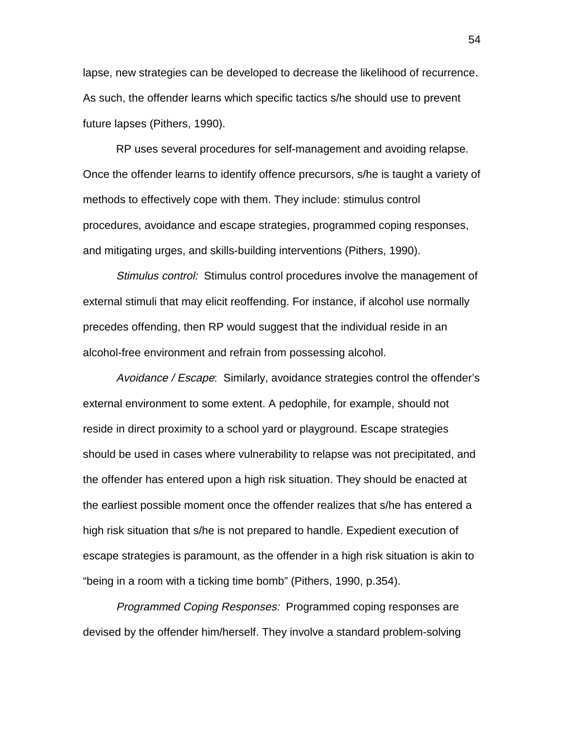lapse, new strategies can be developed to decrease the likelihood of recurrence. As such, the offender learns which specific tactics s/he should use to prevent future lapses (Pithers, 1990).

RP uses several procedures for self-management and avoiding relapse. Once the offender learns to identify offence precursors, s/he is taught a variety of methods to effectively cope with them. They include: stimulus control procedures, avoidance and escape strategies, programmed coping responses, and mitigating urges, and skills-building interventions (Pithers, 1990).

Stimulus control: Stimulus control procedures involve the management of external stimuli that may elicit reoffending. For instance, if alcohol use normally precedes offending, then RP would suggest that the individual reside in an alcohol-free environment and refrain from possessing alcohol.

Avoidance / Escape: Similarly, avoidance strategies control the offender's external environment to some extent. A pedophile, for example, should not reside in direct proximity to a school yard or playground. Escape strategies should be used in cases where vulnerability to relapse was not precipitated, and the offender has entered upon a high risk situation. They should be enacted at the earliest possible moment once the offender realizes that s/he has entered a high risk situation that s/he is not prepared to handle. Expedient execution of escape strategies is paramount, as the offender in a high risk situation is akin to "being in a room with a ticking time bomb" (Pithers, 1990, p.354).

Programmed Coping Responses: Programmed coping responses are devised by the offender him/herself. They involve a standard problem-solving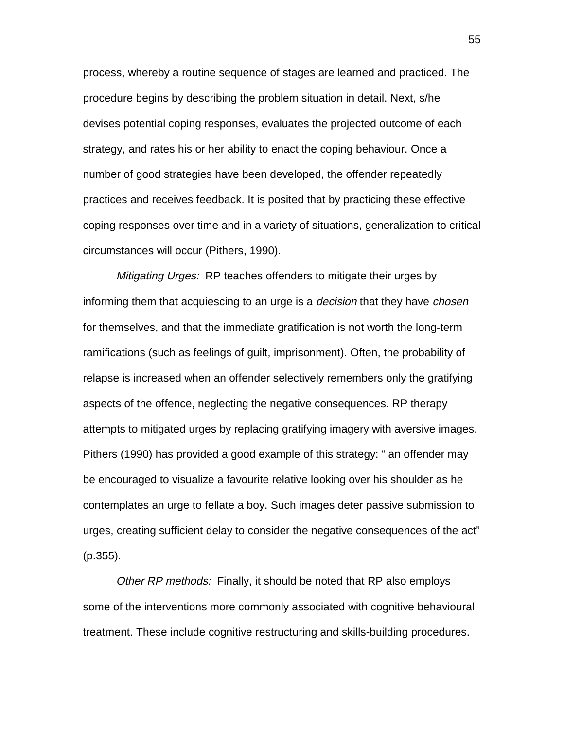process, whereby a routine sequence of stages are learned and practiced. The procedure begins by describing the problem situation in detail. Next, s/he devises potential coping responses, evaluates the projected outcome of each strategy, and rates his or her ability to enact the coping behaviour. Once a number of good strategies have been developed, the offender repeatedly practices and receives feedback. It is posited that by practicing these effective coping responses over time and in a variety of situations, generalization to critical circumstances will occur (Pithers, 1990).

Mitigating Urges: RP teaches offenders to mitigate their urges by informing them that acquiescing to an urge is a *decision* that they have *chosen* for themselves, and that the immediate gratification is not worth the long-term ramifications (such as feelings of guilt, imprisonment). Often, the probability of relapse is increased when an offender selectively remembers only the gratifying aspects of the offence, neglecting the negative consequences. RP therapy attempts to mitigated urges by replacing gratifying imagery with aversive images. Pithers (1990) has provided a good example of this strategy: " an offender may be encouraged to visualize a favourite relative looking over his shoulder as he contemplates an urge to fellate a boy. Such images deter passive submission to urges, creating sufficient delay to consider the negative consequences of the act" (p.355).

Other RP methods: Finally, it should be noted that RP also employs some of the interventions more commonly associated with cognitive behavioural treatment. These include cognitive restructuring and skills-building procedures.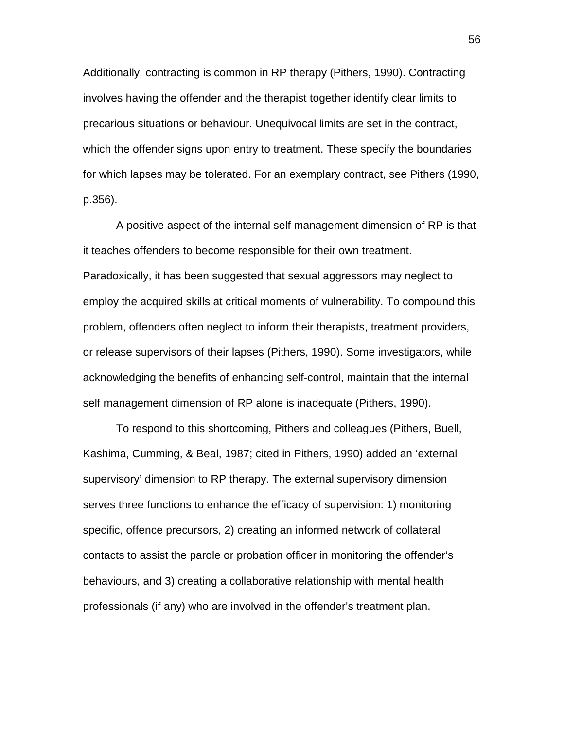Additionally, contracting is common in RP therapy (Pithers, 1990). Contracting involves having the offender and the therapist together identify clear limits to precarious situations or behaviour. Unequivocal limits are set in the contract, which the offender signs upon entry to treatment. These specify the boundaries for which lapses may be tolerated. For an exemplary contract, see Pithers (1990, p.356).

A positive aspect of the internal self management dimension of RP is that it teaches offenders to become responsible for their own treatment. Paradoxically, it has been suggested that sexual aggressors may neglect to employ the acquired skills at critical moments of vulnerability. To compound this problem, offenders often neglect to inform their therapists, treatment providers, or release supervisors of their lapses (Pithers, 1990). Some investigators, while acknowledging the benefits of enhancing self-control, maintain that the internal self management dimension of RP alone is inadequate (Pithers, 1990).

To respond to this shortcoming, Pithers and colleagues (Pithers, Buell, Kashima, Cumming, & Beal, 1987; cited in Pithers, 1990) added an 'external supervisory' dimension to RP therapy. The external supervisory dimension serves three functions to enhance the efficacy of supervision: 1) monitoring specific, offence precursors, 2) creating an informed network of collateral contacts to assist the parole or probation officer in monitoring the offender's behaviours, and 3) creating a collaborative relationship with mental health professionals (if any) who are involved in the offender's treatment plan.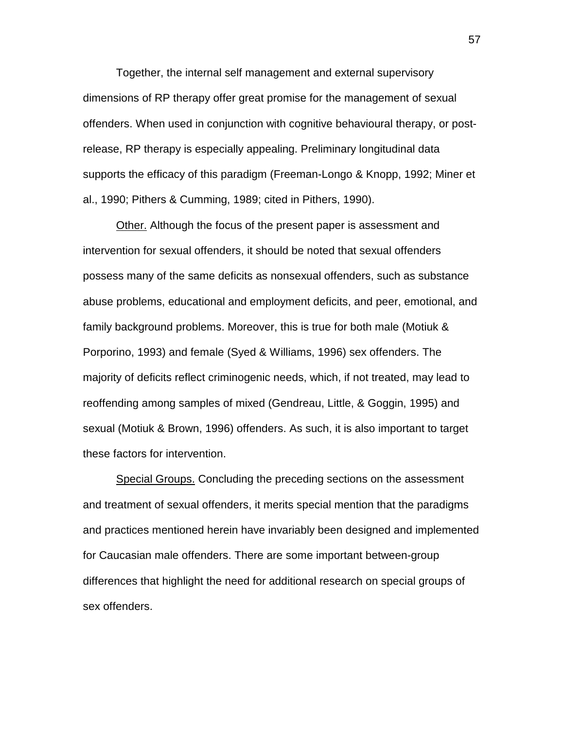Together, the internal self management and external supervisory dimensions of RP therapy offer great promise for the management of sexual offenders. When used in conjunction with cognitive behavioural therapy, or postrelease, RP therapy is especially appealing. Preliminary longitudinal data supports the efficacy of this paradigm (Freeman-Longo & Knopp, 1992; Miner et al., 1990; Pithers & Cumming, 1989; cited in Pithers, 1990).

Other. Although the focus of the present paper is assessment and intervention for sexual offenders, it should be noted that sexual offenders possess many of the same deficits as nonsexual offenders, such as substance abuse problems, educational and employment deficits, and peer, emotional, and family background problems. Moreover, this is true for both male (Motiuk & Porporino, 1993) and female (Syed & Williams, 1996) sex offenders. The majority of deficits reflect criminogenic needs, which, if not treated, may lead to reoffending among samples of mixed (Gendreau, Little, & Goggin, 1995) and sexual (Motiuk & Brown, 1996) offenders. As such, it is also important to target these factors for intervention.

Special Groups. Concluding the preceding sections on the assessment and treatment of sexual offenders, it merits special mention that the paradigms and practices mentioned herein have invariably been designed and implemented for Caucasian male offenders. There are some important between-group differences that highlight the need for additional research on special groups of sex offenders.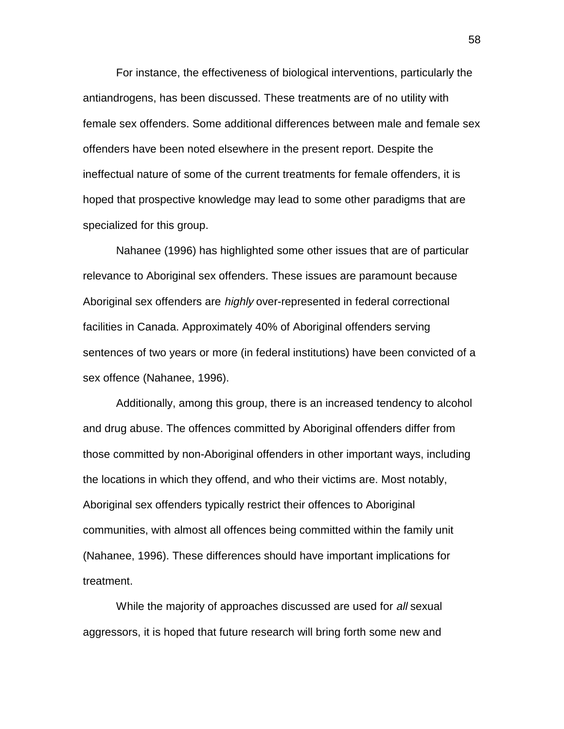For instance, the effectiveness of biological interventions, particularly the antiandrogens, has been discussed. These treatments are of no utility with female sex offenders. Some additional differences between male and female sex offenders have been noted elsewhere in the present report. Despite the ineffectual nature of some of the current treatments for female offenders, it is hoped that prospective knowledge may lead to some other paradigms that are specialized for this group.

Nahanee (1996) has highlighted some other issues that are of particular relevance to Aboriginal sex offenders. These issues are paramount because Aboriginal sex offenders are *highly* over-represented in federal correctional facilities in Canada. Approximately 40% of Aboriginal offenders serving sentences of two years or more (in federal institutions) have been convicted of a sex offence (Nahanee, 1996).

Additionally, among this group, there is an increased tendency to alcohol and drug abuse. The offences committed by Aboriginal offenders differ from those committed by non-Aboriginal offenders in other important ways, including the locations in which they offend, and who their victims are. Most notably, Aboriginal sex offenders typically restrict their offences to Aboriginal communities, with almost all offences being committed within the family unit (Nahanee, 1996). These differences should have important implications for treatment.

While the majority of approaches discussed are used for all sexual aggressors, it is hoped that future research will bring forth some new and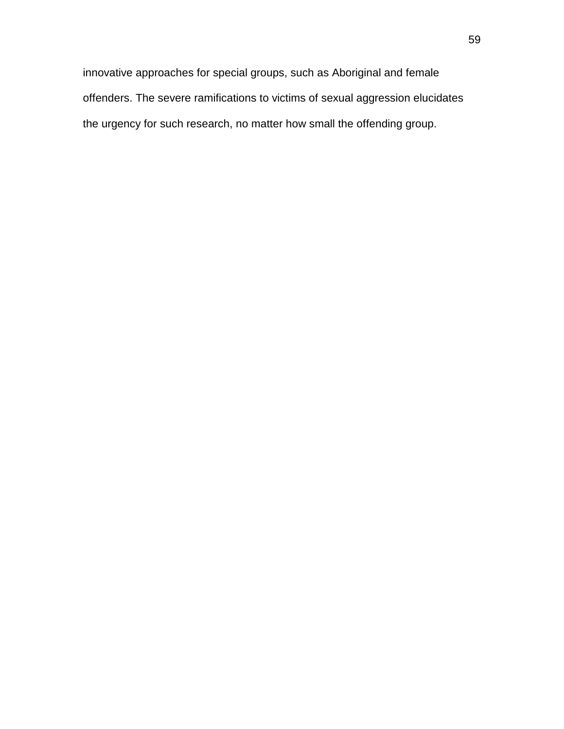innovative approaches for special groups, such as Aboriginal and female offenders. The severe ramifications to victims of sexual aggression elucidates the urgency for such research, no matter how small the offending group.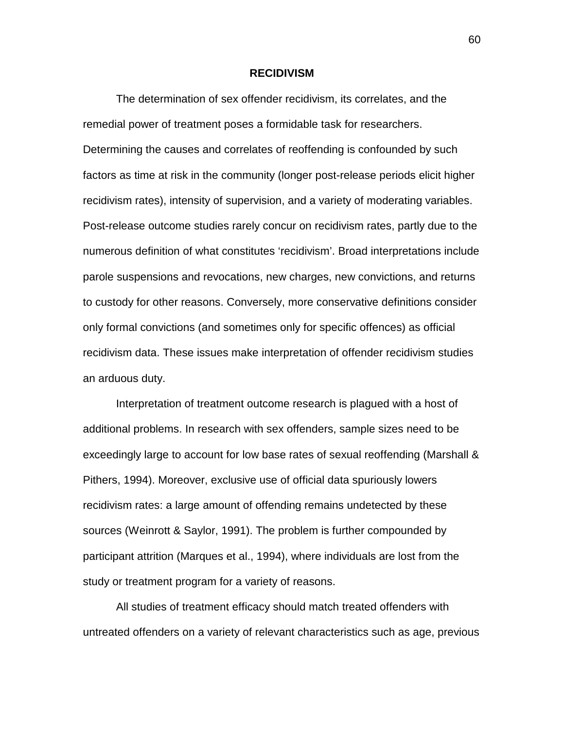### **RECIDIVISM**

The determination of sex offender recidivism, its correlates, and the remedial power of treatment poses a formidable task for researchers. Determining the causes and correlates of reoffending is confounded by such factors as time at risk in the community (longer post-release periods elicit higher recidivism rates), intensity of supervision, and a variety of moderating variables. Post-release outcome studies rarely concur on recidivism rates, partly due to the numerous definition of what constitutes 'recidivism'. Broad interpretations include parole suspensions and revocations, new charges, new convictions, and returns to custody for other reasons. Conversely, more conservative definitions consider only formal convictions (and sometimes only for specific offences) as official recidivism data. These issues make interpretation of offender recidivism studies an arduous duty.

Interpretation of treatment outcome research is plagued with a host of additional problems. In research with sex offenders, sample sizes need to be exceedingly large to account for low base rates of sexual reoffending (Marshall & Pithers, 1994). Moreover, exclusive use of official data spuriously lowers recidivism rates: a large amount of offending remains undetected by these sources (Weinrott & Saylor, 1991). The problem is further compounded by participant attrition (Marques et al., 1994), where individuals are lost from the study or treatment program for a variety of reasons.

All studies of treatment efficacy should match treated offenders with untreated offenders on a variety of relevant characteristics such as age, previous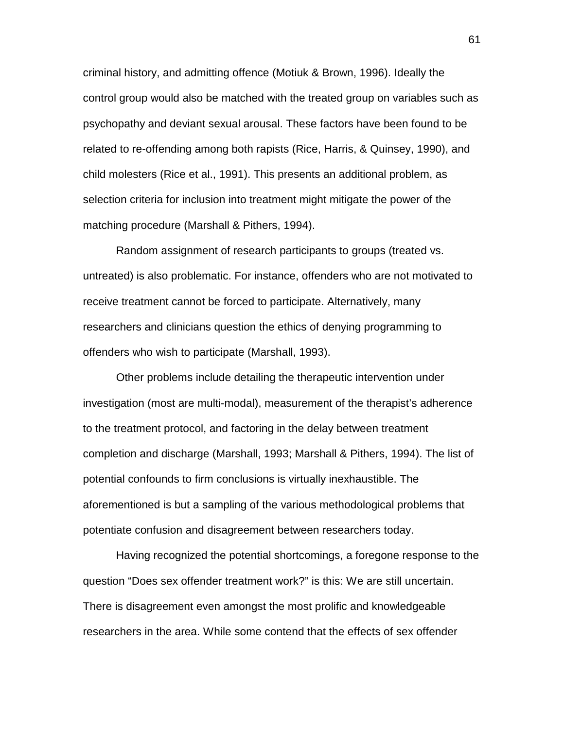criminal history, and admitting offence (Motiuk & Brown, 1996). Ideally the control group would also be matched with the treated group on variables such as psychopathy and deviant sexual arousal. These factors have been found to be related to re-offending among both rapists (Rice, Harris, & Quinsey, 1990), and child molesters (Rice et al., 1991). This presents an additional problem, as selection criteria for inclusion into treatment might mitigate the power of the matching procedure (Marshall & Pithers, 1994).

Random assignment of research participants to groups (treated vs. untreated) is also problematic. For instance, offenders who are not motivated to receive treatment cannot be forced to participate. Alternatively, many researchers and clinicians question the ethics of denying programming to offenders who wish to participate (Marshall, 1993).

Other problems include detailing the therapeutic intervention under investigation (most are multi-modal), measurement of the therapist's adherence to the treatment protocol, and factoring in the delay between treatment completion and discharge (Marshall, 1993; Marshall & Pithers, 1994). The list of potential confounds to firm conclusions is virtually inexhaustible. The aforementioned is but a sampling of the various methodological problems that potentiate confusion and disagreement between researchers today.

Having recognized the potential shortcomings, a foregone response to the question "Does sex offender treatment work?" is this: We are still uncertain. There is disagreement even amongst the most prolific and knowledgeable researchers in the area. While some contend that the effects of sex offender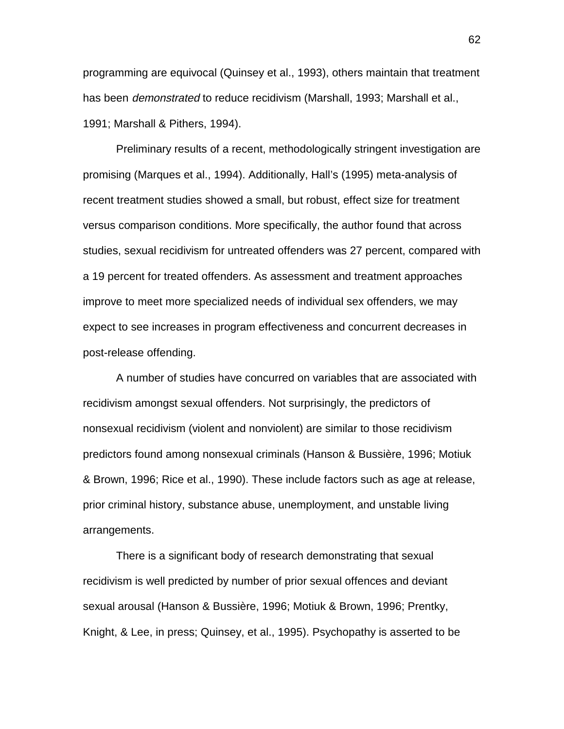programming are equivocal (Quinsey et al., 1993), others maintain that treatment has been *demonstrated* to reduce recidivism (Marshall, 1993; Marshall et al., 1991; Marshall & Pithers, 1994).

Preliminary results of a recent, methodologically stringent investigation are promising (Marques et al., 1994). Additionally, Hall's (1995) meta-analysis of recent treatment studies showed a small, but robust, effect size for treatment versus comparison conditions. More specifically, the author found that across studies, sexual recidivism for untreated offenders was 27 percent, compared with a 19 percent for treated offenders. As assessment and treatment approaches improve to meet more specialized needs of individual sex offenders, we may expect to see increases in program effectiveness and concurrent decreases in post-release offending.

A number of studies have concurred on variables that are associated with recidivism amongst sexual offenders. Not surprisingly, the predictors of nonsexual recidivism (violent and nonviolent) are similar to those recidivism predictors found among nonsexual criminals (Hanson & Bussière, 1996; Motiuk & Brown, 1996; Rice et al., 1990). These include factors such as age at release, prior criminal history, substance abuse, unemployment, and unstable living arrangements.

There is a significant body of research demonstrating that sexual recidivism is well predicted by number of prior sexual offences and deviant sexual arousal (Hanson & Bussière, 1996; Motiuk & Brown, 1996; Prentky, Knight, & Lee, in press; Quinsey, et al., 1995). Psychopathy is asserted to be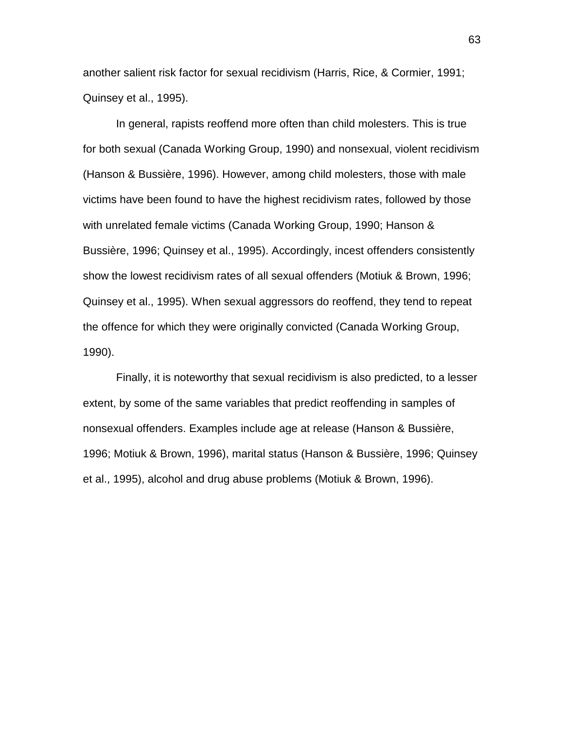another salient risk factor for sexual recidivism (Harris, Rice, & Cormier, 1991; Quinsey et al., 1995).

In general, rapists reoffend more often than child molesters. This is true for both sexual (Canada Working Group, 1990) and nonsexual, violent recidivism (Hanson & Bussière, 1996). However, among child molesters, those with male victims have been found to have the highest recidivism rates, followed by those with unrelated female victims (Canada Working Group, 1990; Hanson & Bussière, 1996; Quinsey et al., 1995). Accordingly, incest offenders consistently show the lowest recidivism rates of all sexual offenders (Motiuk & Brown, 1996; Quinsey et al., 1995). When sexual aggressors do reoffend, they tend to repeat the offence for which they were originally convicted (Canada Working Group, 1990).

Finally, it is noteworthy that sexual recidivism is also predicted, to a lesser extent, by some of the same variables that predict reoffending in samples of nonsexual offenders. Examples include age at release (Hanson & Bussière, 1996; Motiuk & Brown, 1996), marital status (Hanson & Bussière, 1996; Quinsey et al., 1995), alcohol and drug abuse problems (Motiuk & Brown, 1996).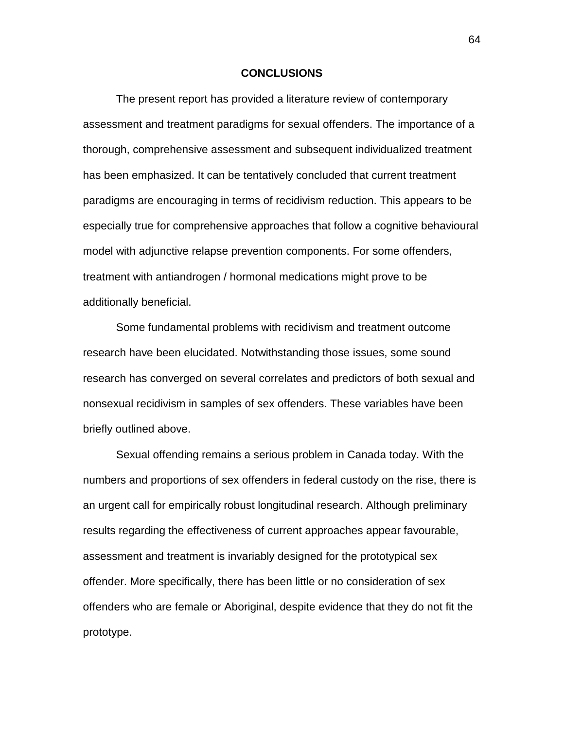# **CONCLUSIONS**

The present report has provided a literature review of contemporary assessment and treatment paradigms for sexual offenders. The importance of a thorough, comprehensive assessment and subsequent individualized treatment has been emphasized. It can be tentatively concluded that current treatment paradigms are encouraging in terms of recidivism reduction. This appears to be especially true for comprehensive approaches that follow a cognitive behavioural model with adjunctive relapse prevention components. For some offenders, treatment with antiandrogen / hormonal medications might prove to be additionally beneficial.

Some fundamental problems with recidivism and treatment outcome research have been elucidated. Notwithstanding those issues, some sound research has converged on several correlates and predictors of both sexual and nonsexual recidivism in samples of sex offenders. These variables have been briefly outlined above.

Sexual offending remains a serious problem in Canada today. With the numbers and proportions of sex offenders in federal custody on the rise, there is an urgent call for empirically robust longitudinal research. Although preliminary results regarding the effectiveness of current approaches appear favourable, assessment and treatment is invariably designed for the prototypical sex offender. More specifically, there has been little or no consideration of sex offenders who are female or Aboriginal, despite evidence that they do not fit the prototype.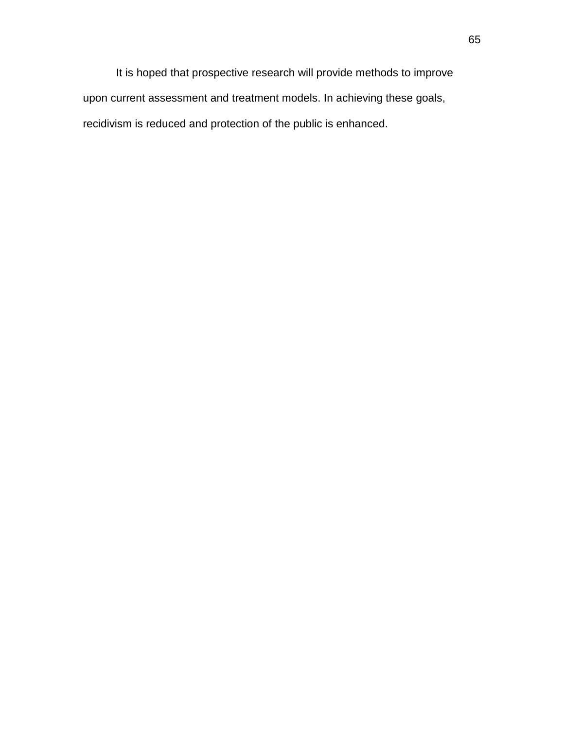It is hoped that prospective research will provide methods to improve upon current assessment and treatment models. In achieving these goals, recidivism is reduced and protection of the public is enhanced.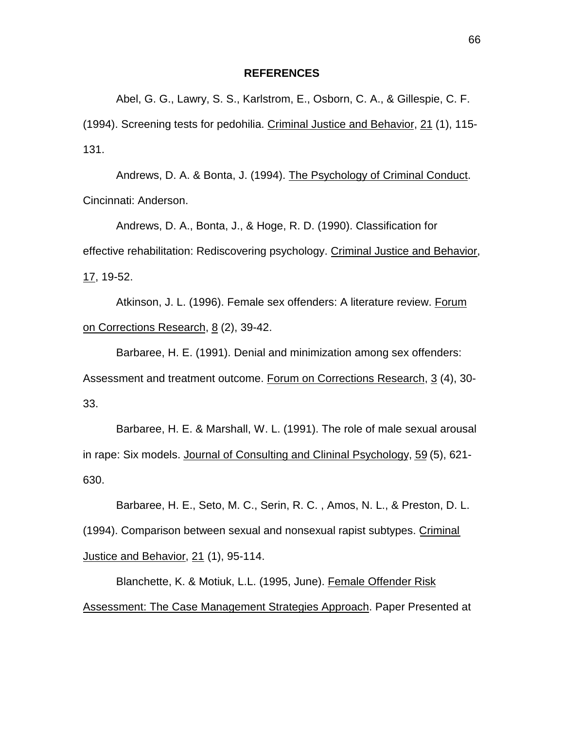# **REFERENCES**

Abel, G. G., Lawry, S. S., Karlstrom, E., Osborn, C. A., & Gillespie, C. F. (1994). Screening tests for pedohilia. Criminal Justice and Behavior, 21 (1), 115- 131.

Andrews, D. A. & Bonta, J. (1994). The Psychology of Criminal Conduct. Cincinnati: Anderson.

Andrews, D. A., Bonta, J., & Hoge, R. D. (1990). Classification for effective rehabilitation: Rediscovering psychology. Criminal Justice and Behavior, 17, 19-52.

Atkinson, J. L. (1996). Female sex offenders: A literature review. Forum on Corrections Research, 8 (2), 39-42.

Barbaree, H. E. (1991). Denial and minimization among sex offenders: Assessment and treatment outcome. Forum on Corrections Research, 3 (4), 30- 33.

Barbaree, H. E. & Marshall, W. L. (1991). The role of male sexual arousal in rape: Six models. Journal of Consulting and Clininal Psychology, 59 (5), 621- 630.

Barbaree, H. E., Seto, M. C., Serin, R. C. , Amos, N. L., & Preston, D. L. (1994). Comparison between sexual and nonsexual rapist subtypes. Criminal Justice and Behavior, 21 (1), 95-114.

Blanchette, K. & Motiuk, L.L. (1995, June). Female Offender Risk Assessment: The Case Management Strategies Approach. Paper Presented at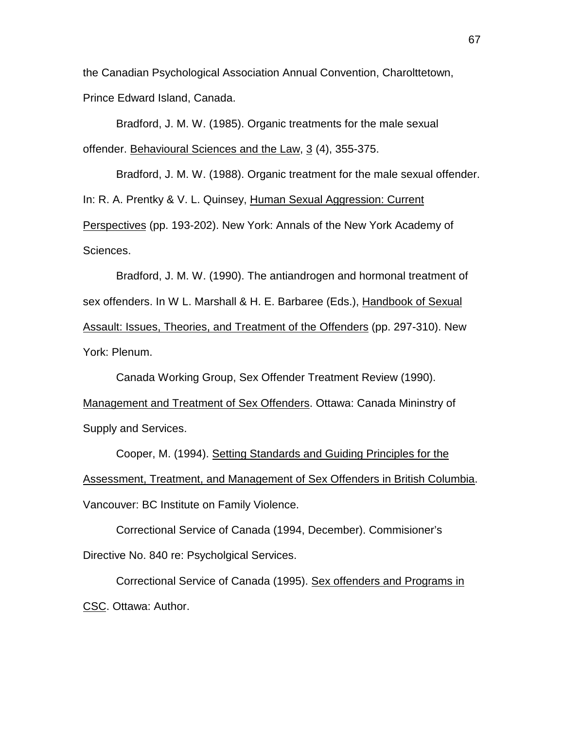the Canadian Psychological Association Annual Convention, Charolttetown, Prince Edward Island, Canada.

Bradford, J. M. W. (1985). Organic treatments for the male sexual offender. Behavioural Sciences and the Law, 3 (4), 355-375.

Bradford, J. M. W. (1988). Organic treatment for the male sexual offender. In: R. A. Prentky & V. L. Quinsey, Human Sexual Aggression: Current Perspectives (pp. 193-202). New York: Annals of the New York Academy of Sciences.

Bradford, J. M. W. (1990). The antiandrogen and hormonal treatment of sex offenders. In W L. Marshall & H. E. Barbaree (Eds.), Handbook of Sexual Assault: Issues, Theories, and Treatment of the Offenders (pp. 297-310). New York: Plenum.

Canada Working Group, Sex Offender Treatment Review (1990). Management and Treatment of Sex Offenders. Ottawa: Canada Mininstry of Supply and Services.

Cooper, M. (1994). Setting Standards and Guiding Principles for the Assessment, Treatment, and Management of Sex Offenders in British Columbia. Vancouver: BC Institute on Family Violence.

Correctional Service of Canada (1994, December). Commisioner's Directive No. 840 re: Psycholgical Services.

Correctional Service of Canada (1995). Sex offenders and Programs in CSC. Ottawa: Author.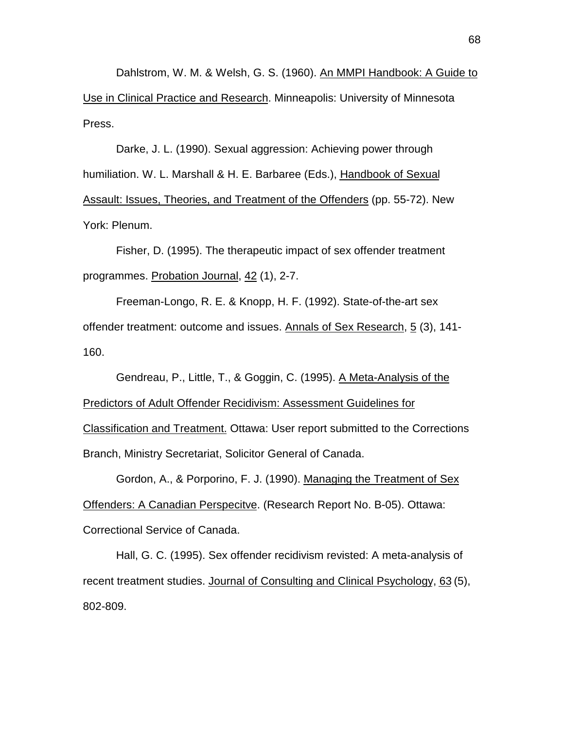Dahlstrom, W. M. & Welsh, G. S. (1960). An MMPI Handbook: A Guide to Use in Clinical Practice and Research. Minneapolis: University of Minnesota Press.

Darke, J. L. (1990). Sexual aggression: Achieving power through humiliation. W. L. Marshall & H. E. Barbaree (Eds.), Handbook of Sexual Assault: Issues, Theories, and Treatment of the Offenders (pp. 55-72). New York: Plenum.

Fisher, D. (1995). The therapeutic impact of sex offender treatment programmes. Probation Journal, 42 (1), 2-7.

Freeman-Longo, R. E. & Knopp, H. F. (1992). State-of-the-art sex offender treatment: outcome and issues. Annals of Sex Research, 5 (3), 141- 160.

Gendreau, P., Little, T., & Goggin, C. (1995). A Meta-Analysis of the Predictors of Adult Offender Recidivism: Assessment Guidelines for Classification and Treatment. Ottawa: User report submitted to the Corrections Branch, Ministry Secretariat, Solicitor General of Canada.

Gordon, A., & Porporino, F. J. (1990). Managing the Treatment of Sex Offenders: A Canadian Perspecitve. (Research Report No. B-05). Ottawa: Correctional Service of Canada.

Hall, G. C. (1995). Sex offender recidivism revisted: A meta-analysis of recent treatment studies. Journal of Consulting and Clinical Psychology, 63 (5), 802-809.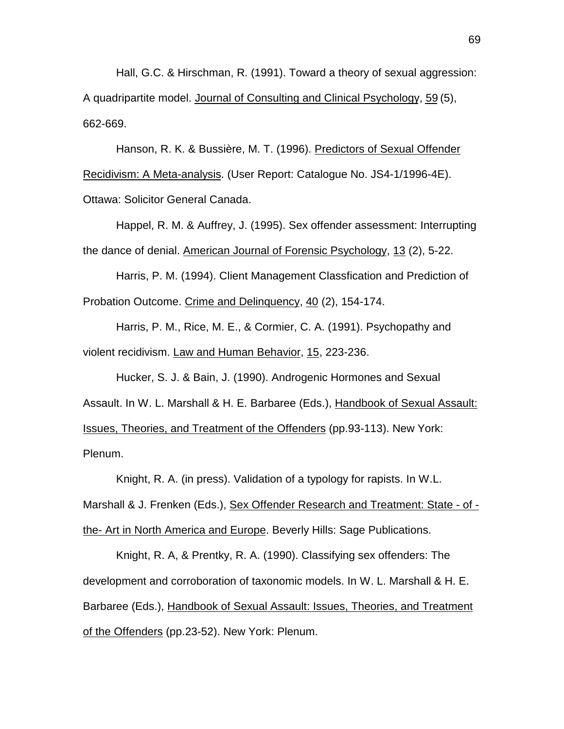Hall, G.C. & Hirschman, R. (1991). Toward a theory of sexual aggression: A quadripartite model. Journal of Consulting and Clinical Psychology, 59 (5), 662-669.

Hanson, R. K. & Bussière, M. T. (1996). Predictors of Sexual Offender Recidivism: A Meta-analysis. (User Report: Catalogue No. JS4-1/1996-4E). Ottawa: Solicitor General Canada.

Happel, R. M. & Auffrey, J. (1995). Sex offender assessment: Interrupting the dance of denial. American Journal of Forensic Psychology, 13 (2), 5-22.

Harris, P. M. (1994). Client Management Classfication and Prediction of Probation Outcome. Crime and Delinquency, 40 (2), 154-174.

Harris, P. M., Rice, M. E., & Cormier, C. A. (1991). Psychopathy and violent recidivism. Law and Human Behavior, 15, 223-236.

Hucker, S. J. & Bain, J. (1990). Androgenic Hormones and Sexual Assault. In W. L. Marshall & H. E. Barbaree (Eds.), Handbook of Sexual Assault: Issues, Theories, and Treatment of the Offenders (pp.93-113). New York: Plenum.

Knight, R. A. (in press). Validation of a typology for rapists. In W.L. Marshall & J. Frenken (Eds.), Sex Offender Research and Treatment: State - of the- Art in North America and Europe. Beverly Hills: Sage Publications.

Knight, R. A, & Prentky, R. A. (1990). Classifying sex offenders: The development and corroboration of taxonomic models. In W. L. Marshall & H. E. Barbaree (Eds.), Handbook of Sexual Assault: Issues, Theories, and Treatment of the Offenders (pp.23-52). New York: Plenum.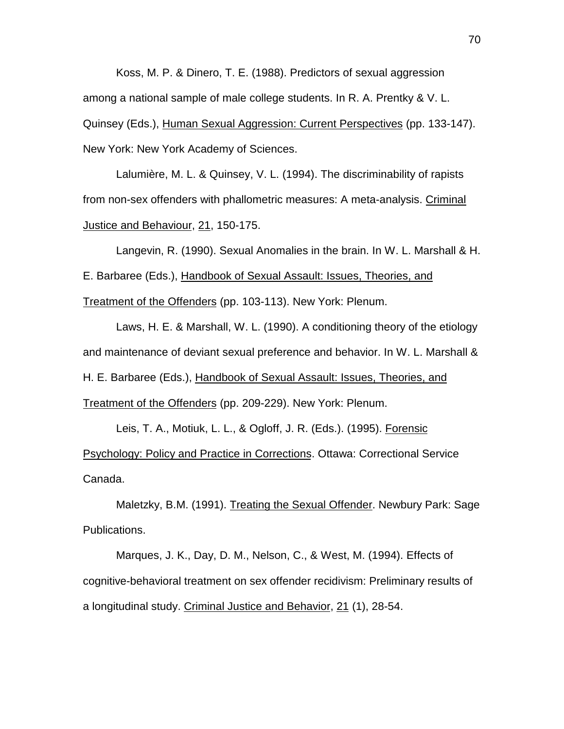Koss, M. P. & Dinero, T. E. (1988). Predictors of sexual aggression among a national sample of male college students. In R. A. Prentky & V. L. Quinsey (Eds.), Human Sexual Aggression: Current Perspectives (pp. 133-147). New York: New York Academy of Sciences.

Lalumière, M. L. & Quinsey, V. L. (1994). The discriminability of rapists from non-sex offenders with phallometric measures: A meta-analysis. Criminal Justice and Behaviour, 21, 150-175.

Langevin, R. (1990). Sexual Anomalies in the brain. In W. L. Marshall & H. E. Barbaree (Eds.), Handbook of Sexual Assault: Issues, Theories, and Treatment of the Offenders (pp. 103-113). New York: Plenum.

Laws, H. E. & Marshall, W. L. (1990). A conditioning theory of the etiology and maintenance of deviant sexual preference and behavior. In W. L. Marshall & H. E. Barbaree (Eds.), Handbook of Sexual Assault: Issues, Theories, and Treatment of the Offenders (pp. 209-229). New York: Plenum.

Leis, T. A., Motiuk, L. L., & Ogloff, J. R. (Eds.). (1995). Forensic Psychology: Policy and Practice in Corrections. Ottawa: Correctional Service Canada.

Maletzky, B.M. (1991). Treating the Sexual Offender. Newbury Park: Sage Publications.

Marques, J. K., Day, D. M., Nelson, C., & West, M. (1994). Effects of cognitive-behavioral treatment on sex offender recidivism: Preliminary results of a longitudinal study. Criminal Justice and Behavior, 21 (1), 28-54.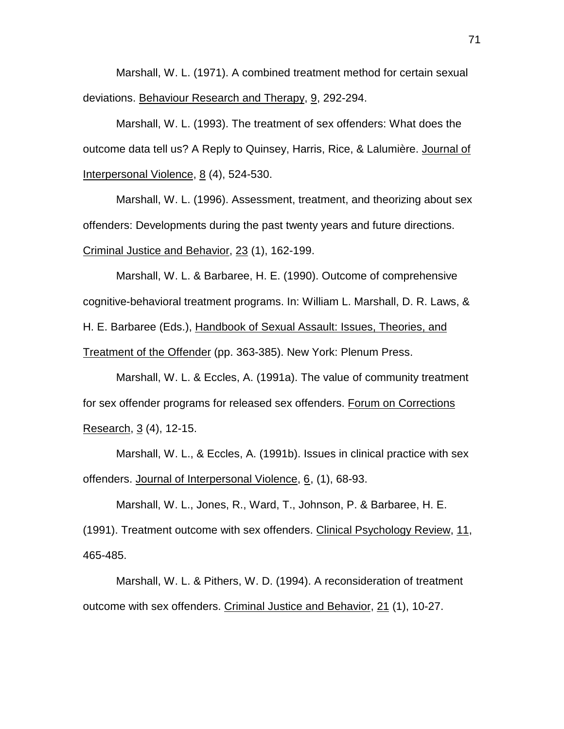Marshall, W. L. (1971). A combined treatment method for certain sexual deviations. Behaviour Research and Therapy, 9, 292-294.

Marshall, W. L. (1993). The treatment of sex offenders: What does the outcome data tell us? A Reply to Quinsey, Harris, Rice, & Lalumière. Journal of Interpersonal Violence, 8 (4), 524-530.

Marshall, W. L. (1996). Assessment, treatment, and theorizing about sex offenders: Developments during the past twenty years and future directions. Criminal Justice and Behavior, 23 (1), 162-199.

Marshall, W. L. & Barbaree, H. E. (1990). Outcome of comprehensive cognitive-behavioral treatment programs. In: William L. Marshall, D. R. Laws, & H. E. Barbaree (Eds.), Handbook of Sexual Assault: Issues, Theories, and Treatment of the Offender (pp. 363-385). New York: Plenum Press.

Marshall, W. L. & Eccles, A. (1991a). The value of community treatment for sex offender programs for released sex offenders. Forum on Corrections Research, 3 (4), 12-15.

Marshall, W. L., & Eccles, A. (1991b). Issues in clinical practice with sex offenders. Journal of Interpersonal Violence, 6, (1), 68-93.

Marshall, W. L., Jones, R., Ward, T., Johnson, P. & Barbaree, H. E. (1991). Treatment outcome with sex offenders. Clinical Psychology Review, 11, 465-485.

Marshall, W. L. & Pithers, W. D. (1994). A reconsideration of treatment outcome with sex offenders. Criminal Justice and Behavior, 21 (1), 10-27.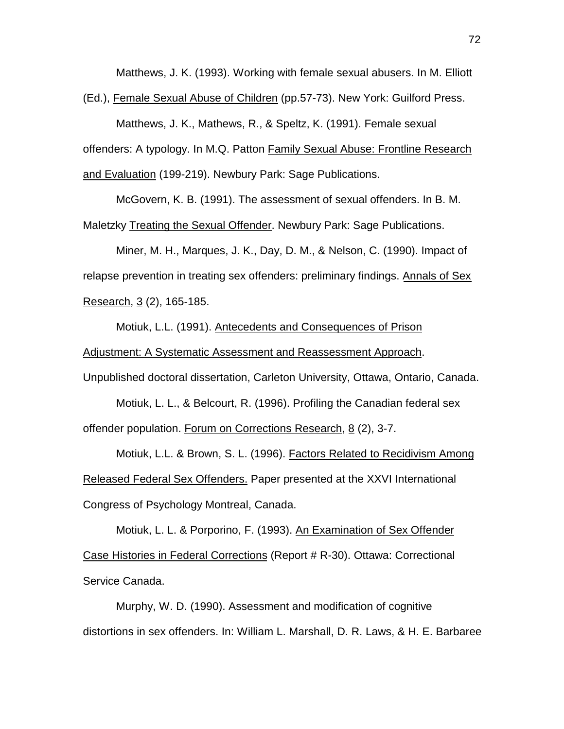Matthews, J. K. (1993). Working with female sexual abusers. In M. Elliott

(Ed.), Female Sexual Abuse of Children (pp.57-73). New York: Guilford Press.

Matthews, J. K., Mathews, R., & Speltz, K. (1991). Female sexual offenders: A typology. In M.Q. Patton Family Sexual Abuse: Frontline Research and Evaluation (199-219). Newbury Park: Sage Publications.

McGovern, K. B. (1991). The assessment of sexual offenders. In B. M.

Maletzky Treating the Sexual Offender. Newbury Park: Sage Publications.

Miner, M. H., Marques, J. K., Day, D. M., & Nelson, C. (1990). Impact of relapse prevention in treating sex offenders: preliminary findings. Annals of Sex Research, 3 (2), 165-185.

Motiuk, L.L. (1991). Antecedents and Consequences of Prison Adjustment: A Systematic Assessment and Reassessment Approach.

Unpublished doctoral dissertation, Carleton University, Ottawa, Ontario, Canada.

Motiuk, L. L., & Belcourt, R. (1996). Profiling the Canadian federal sex offender population. Forum on Corrections Research, 8 (2), 3-7.

Motiuk, L.L. & Brown, S. L. (1996). Factors Related to Recidivism Among Released Federal Sex Offenders. Paper presented at the XXVI International Congress of Psychology Montreal, Canada.

Motiuk, L. L. & Porporino, F. (1993). An Examination of Sex Offender Case Histories in Federal Corrections (Report # R-30). Ottawa: Correctional Service Canada.

Murphy, W. D. (1990). Assessment and modification of cognitive distortions in sex offenders. In: William L. Marshall, D. R. Laws, & H. E. Barbaree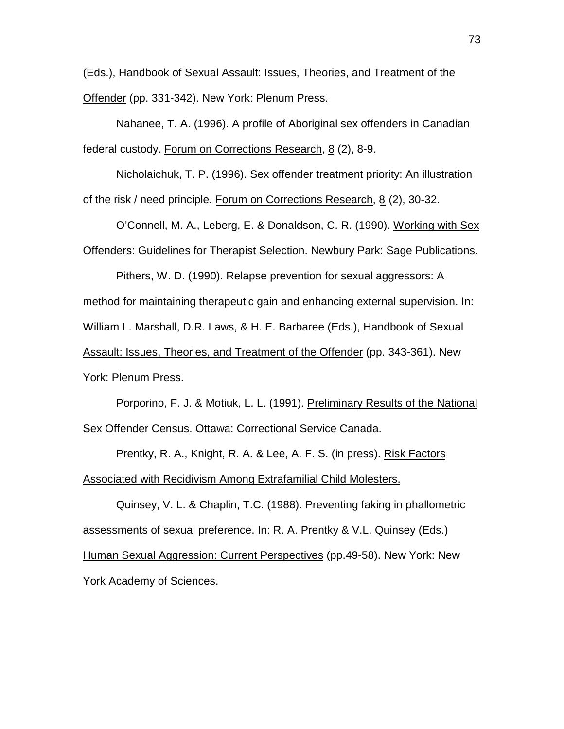(Eds.), Handbook of Sexual Assault: Issues, Theories, and Treatment of the Offender (pp. 331-342). New York: Plenum Press.

Nahanee, T. A. (1996). A profile of Aboriginal sex offenders in Canadian federal custody. Forum on Corrections Research, 8 (2), 8-9.

Nicholaichuk, T. P. (1996). Sex offender treatment priority: An illustration of the risk / need principle. Forum on Corrections Research, 8 (2), 30-32.

O'Connell, M. A., Leberg, E. & Donaldson, C. R. (1990). Working with Sex Offenders: Guidelines for Therapist Selection. Newbury Park: Sage Publications.

Pithers, W. D. (1990). Relapse prevention for sexual aggressors: A method for maintaining therapeutic gain and enhancing external supervision. In: William L. Marshall, D.R. Laws, & H. E. Barbaree (Eds.), Handbook of Sexual Assault: Issues, Theories, and Treatment of the Offender (pp. 343-361). New York: Plenum Press.

Porporino, F. J. & Motiuk, L. L. (1991). Preliminary Results of the National Sex Offender Census. Ottawa: Correctional Service Canada.

Prentky, R. A., Knight, R. A. & Lee, A. F. S. (in press). Risk Factors Associated with Recidivism Among Extrafamilial Child Molesters.

Quinsey, V. L. & Chaplin, T.C. (1988). Preventing faking in phallometric assessments of sexual preference. In: R. A. Prentky & V.L. Quinsey (Eds.) Human Sexual Aggression: Current Perspectives (pp.49-58). New York: New York Academy of Sciences.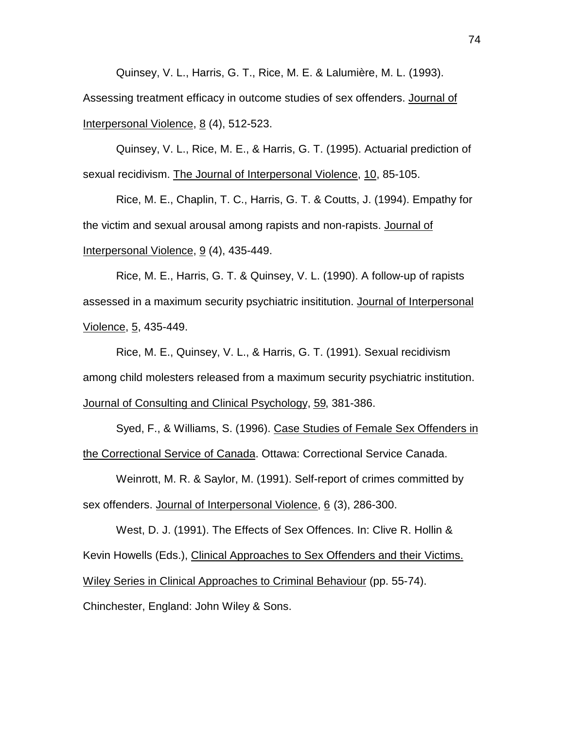Quinsey, V. L., Harris, G. T., Rice, M. E. & Lalumière, M. L. (1993). Assessing treatment efficacy in outcome studies of sex offenders. Journal of Interpersonal Violence, 8 (4), 512-523.

Quinsey, V. L., Rice, M. E., & Harris, G. T. (1995). Actuarial prediction of sexual recidivism. The Journal of Interpersonal Violence, 10, 85-105.

Rice, M. E., Chaplin, T. C., Harris, G. T. & Coutts, J. (1994). Empathy for the victim and sexual arousal among rapists and non-rapists. Journal of Interpersonal Violence, 9 (4), 435-449.

Rice, M. E., Harris, G. T. & Quinsey, V. L. (1990). A follow-up of rapists assessed in a maximum security psychiatric insititution. Journal of Interpersonal Violence, 5, 435-449.

Rice, M. E., Quinsey, V. L., & Harris, G. T. (1991). Sexual recidivism among child molesters released from a maximum security psychiatric institution. Journal of Consulting and Clinical Psychology, 59, 381-386.

Syed, F., & Williams, S. (1996). Case Studies of Female Sex Offenders in the Correctional Service of Canada. Ottawa: Correctional Service Canada.

Weinrott, M. R. & Saylor, M. (1991). Self-report of crimes committed by sex offenders. Journal of Interpersonal Violence, 6 (3), 286-300.

West, D. J. (1991). The Effects of Sex Offences. In: Clive R. Hollin & Kevin Howells (Eds.), Clinical Approaches to Sex Offenders and their Victims. Wiley Series in Clinical Approaches to Criminal Behaviour (pp. 55-74). Chinchester, England: John Wiley & Sons.